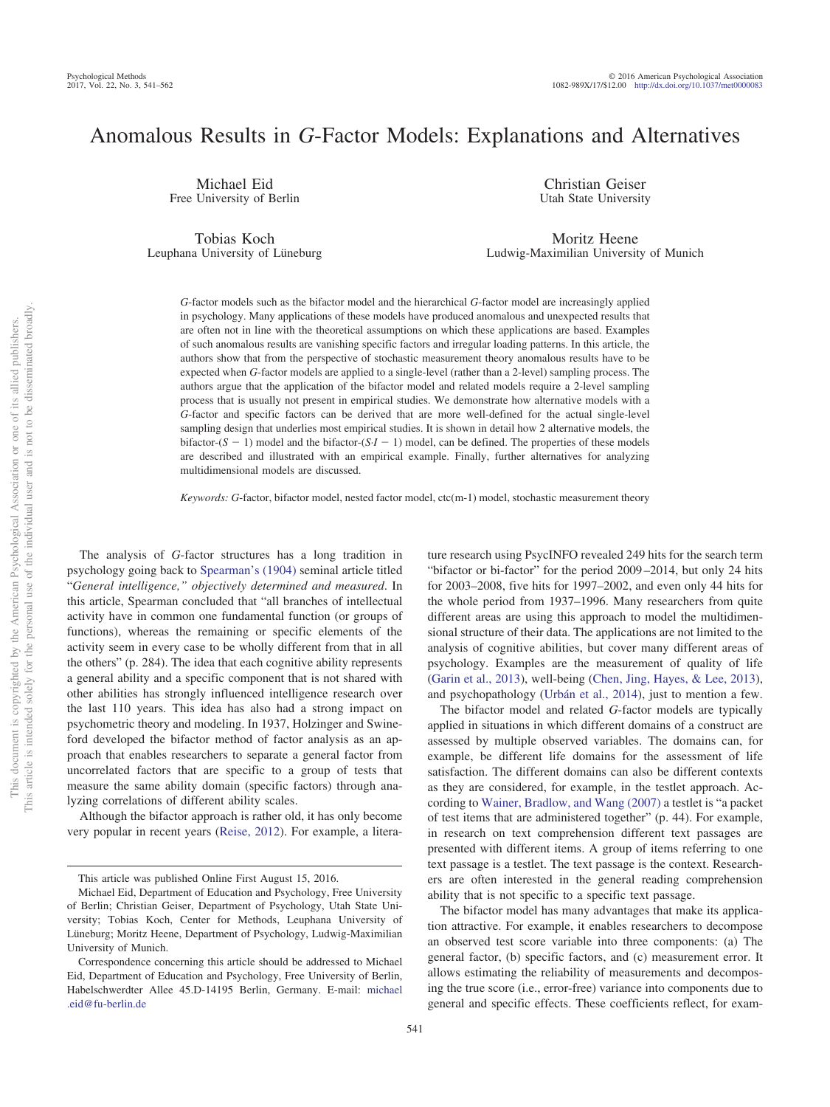# Anomalous Results in *G*-Factor Models: Explanations and Alternatives

Michael Eid Free University of Berlin

Tobias Koch Leuphana University of Lüneburg

Christian Geiser Utah State University

Moritz Heene Ludwig-Maximilian University of Munich

*G*-factor models such as the bifactor model and the hierarchical *G*-factor model are increasingly applied in psychology. Many applications of these models have produced anomalous and unexpected results that are often not in line with the theoretical assumptions on which these applications are based. Examples of such anomalous results are vanishing specific factors and irregular loading patterns. In this article, the authors show that from the perspective of stochastic measurement theory anomalous results have to be expected when *G*-factor models are applied to a single-level (rather than a 2-level) sampling process. The authors argue that the application of the bifactor model and related models require a 2-level sampling process that is usually not present in empirical studies. We demonstrate how alternative models with a *G*-factor and specific factors can be derived that are more well-defined for the actual single-level sampling design that underlies most empirical studies. It is shown in detail how 2 alternative models, the bifactor- $(S - 1)$  model and the bifactor- $(S - 1)$  model, can be defined. The properties of these models are described and illustrated with an empirical example. Finally, further alternatives for analyzing multidimensional models are discussed.

*Keywords: G*-factor, bifactor model, nested factor model, ctc(m-1) model, stochastic measurement theory

541

The analysis of *G*-factor structures has a long tradition in psychology going back to [Spearman's \(1904\)](#page-18-0) seminal article titled "*General intelligence," objectively determined and measured*. In this article, Spearman concluded that "all branches of intellectual activity have in common one fundamental function (or groups of functions), whereas the remaining or specific elements of the activity seem in every case to be wholly different from that in all the others" (p. 284). The idea that each cognitive ability represents a general ability and a specific component that is not shared with other abilities has strongly influenced intelligence research over the last 110 years. This idea has also had a strong impact on psychometric theory and modeling. In 1937, Holzinger and Swineford developed the bifactor method of factor analysis as an approach that enables researchers to separate a general factor from uncorrelated factors that are specific to a group of tests that measure the same ability domain (specific factors) through analyzing correlations of different ability scales.

Although the bifactor approach is rather old, it has only become very popular in recent years [\(Reise, 2012\)](#page-18-1). For example, a literature research using PsycINFO revealed 249 hits for the search term "bifactor or bi-factor" for the period 2009 –2014, but only 24 hits for 2003–2008, five hits for 1997–2002, and even only 44 hits for the whole period from 1937–1996. Many researchers from quite different areas are using this approach to model the multidimensional structure of their data. The applications are not limited to the analysis of cognitive abilities, but cover many different areas of psychology. Examples are the measurement of quality of life [\(Garin et al., 2013\)](#page-17-0), well-being [\(Chen, Jing, Hayes, & Lee, 2013\)](#page-16-0), and psychopathology [\(Urbán et al., 2014\)](#page-18-2), just to mention a few.

The bifactor model and related *G*-factor models are typically applied in situations in which different domains of a construct are assessed by multiple observed variables. The domains can, for example, be different life domains for the assessment of life satisfaction. The different domains can also be different contexts as they are considered, for example, in the testlet approach. According to [Wainer, Bradlow, and Wang \(2007\)](#page-18-3) a testlet is "a packet of test items that are administered together" (p. 44). For example, in research on text comprehension different text passages are presented with different items. A group of items referring to one text passage is a testlet. The text passage is the context. Researchers are often interested in the general reading comprehension ability that is not specific to a specific text passage.

The bifactor model has many advantages that make its application attractive. For example, it enables researchers to decompose an observed test score variable into three components: (a) The general factor, (b) specific factors, and (c) measurement error. It allows estimating the reliability of measurements and decomposing the true score (i.e., error-free) variance into components due to general and specific effects. These coefficients reflect, for exam-

This article was published Online First August 15, 2016.

Michael Eid, Department of Education and Psychology, Free University of Berlin; Christian Geiser, Department of Psychology, Utah State University; Tobias Koch, Center for Methods, Leuphana University of Lüneburg; Moritz Heene, Department of Psychology, Ludwig-Maximilian University of Munich.

Correspondence concerning this article should be addressed to Michael Eid, Department of Education and Psychology, Free University of Berlin, Habelschwerdter Allee 45.D-14195 Berlin, Germany. E-mail: [michael](mailto:michael.eid@fu-berlin.de) [.eid@fu-berlin.de](mailto:michael.eid@fu-berlin.de)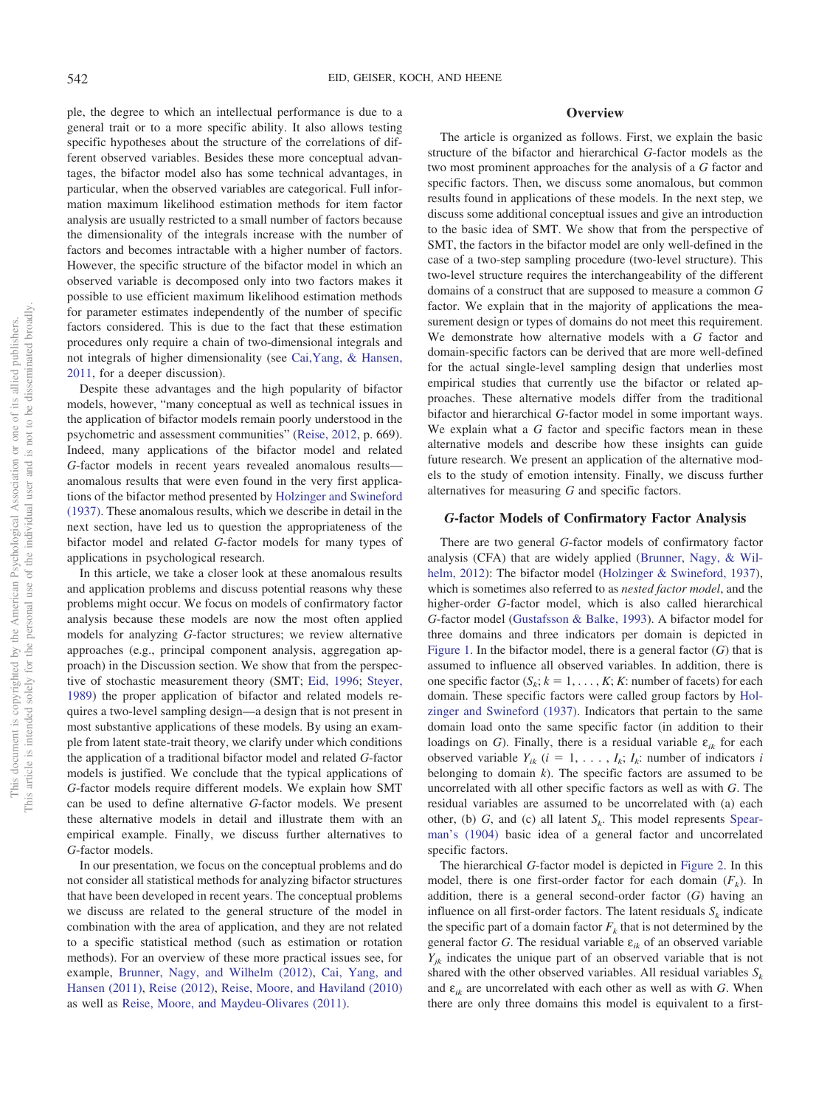ple, the degree to which an intellectual performance is due to a general trait or to a more specific ability. It also allows testing specific hypotheses about the structure of the correlations of different observed variables. Besides these more conceptual advantages, the bifactor model also has some technical advantages, in particular, when the observed variables are categorical. Full information maximum likelihood estimation methods for item factor analysis are usually restricted to a small number of factors because the dimensionality of the integrals increase with the number of factors and becomes intractable with a higher number of factors. However, the specific structure of the bifactor model in which an observed variable is decomposed only into two factors makes it possible to use efficient maximum likelihood estimation methods for parameter estimates independently of the number of specific factors considered. This is due to the fact that these estimation procedures only require a chain of two-dimensional integrals and not integrals of higher dimensionality (see [Cai,Yang, & Hansen,](#page-16-1) [2011,](#page-16-1) for a deeper discussion).

Despite these advantages and the high popularity of bifactor models, however, "many conceptual as well as technical issues in the application of bifactor models remain poorly understood in the psychometric and assessment communities" [\(Reise, 2012,](#page-18-1) p. 669). Indeed, many applications of the bifactor model and related *G*-factor models in recent years revealed anomalous results anomalous results that were even found in the very first applications of the bifactor method presented by [Holzinger and Swineford](#page-17-1) [\(1937\).](#page-17-1) These anomalous results, which we describe in detail in the next section, have led us to question the appropriateness of the bifactor model and related *G*-factor models for many types of applications in psychological research.

In this article, we take a closer look at these anomalous results and application problems and discuss potential reasons why these problems might occur. We focus on models of confirmatory factor analysis because these models are now the most often applied models for analyzing *G*-factor structures; we review alternative approaches (e.g., principal component analysis, aggregation approach) in the Discussion section. We show that from the perspective of stochastic measurement theory (SMT; [Eid, 1996;](#page-16-2) [Steyer,](#page-18-4) [1989\)](#page-18-4) the proper application of bifactor and related models requires a two-level sampling design—a design that is not present in most substantive applications of these models. By using an example from latent state-trait theory, we clarify under which conditions the application of a traditional bifactor model and related *G*-factor models is justified. We conclude that the typical applications of *G*-factor models require different models. We explain how SMT can be used to define alternative *G*-factor models. We present these alternative models in detail and illustrate them with an empirical example. Finally, we discuss further alternatives to *G*-factor models.

In our presentation, we focus on the conceptual problems and do not consider all statistical methods for analyzing bifactor structures that have been developed in recent years. The conceptual problems we discuss are related to the general structure of the model in combination with the area of application, and they are not related to a specific statistical method (such as estimation or rotation methods). For an overview of these more practical issues see, for example, [Brunner, Nagy, and Wilhelm \(2012\),](#page-16-3) [Cai, Yang, and](#page-16-1) [Hansen \(2011\),](#page-16-1) [Reise \(2012\),](#page-18-1) [Reise, Moore, and Haviland \(2010\)](#page-18-5) as well as [Reise, Moore, and Maydeu-Olivares \(2011\).](#page-18-6)

### **Overview**

The article is organized as follows. First, we explain the basic structure of the bifactor and hierarchical *G*-factor models as the two most prominent approaches for the analysis of a *G* factor and specific factors. Then, we discuss some anomalous, but common results found in applications of these models. In the next step, we discuss some additional conceptual issues and give an introduction to the basic idea of SMT. We show that from the perspective of SMT, the factors in the bifactor model are only well-defined in the case of a two-step sampling procedure (two-level structure). This two-level structure requires the interchangeability of the different domains of a construct that are supposed to measure a common *G* factor. We explain that in the majority of applications the measurement design or types of domains do not meet this requirement. We demonstrate how alternative models with a *G* factor and domain-specific factors can be derived that are more well-defined for the actual single-level sampling design that underlies most empirical studies that currently use the bifactor or related approaches. These alternative models differ from the traditional bifactor and hierarchical *G*-factor model in some important ways. We explain what a *G* factor and specific factors mean in these alternative models and describe how these insights can guide future research. We present an application of the alternative models to the study of emotion intensity. Finally, we discuss further alternatives for measuring *G* and specific factors.

#### *G***-factor Models of Confirmatory Factor Analysis**

There are two general *G*-factor models of confirmatory factor analysis (CFA) that are widely applied [\(Brunner, Nagy, & Wil](#page-16-3)[helm, 2012\)](#page-16-3): The bifactor model [\(Holzinger & Swineford, 1937\)](#page-17-1), which is sometimes also referred to as *nested factor model*, and the higher-order *G*-factor model, which is also called hierarchical *G*-factor model [\(Gustafsson & Balke, 1993\)](#page-17-2). A bifactor model for three domains and three indicators per domain is depicted in [Figure 1.](#page-2-0) In the bifactor model, there is a general factor (*G*) that is assumed to influence all observed variables. In addition, there is one specific factor  $(S_k; k = 1, \ldots, K; K$ : number of facets) for each domain. These specific factors were called group factors by [Hol](#page-17-1)[zinger and Swineford \(1937\).](#page-17-1) Indicators that pertain to the same domain load onto the same specific factor (in addition to their loadings on *G*). Finally, there is a residual variable  $\varepsilon_{ik}$  for each observed variable  $Y_{ik}$  ( $i = 1, \ldots, I_k; I_k$ : number of indicators *i* belonging to domain *k*). The specific factors are assumed to be uncorrelated with all other specific factors as well as with *G*. The residual variables are assumed to be uncorrelated with (a) each other, (b) *G*, and (c) all latent  $S_k$ . This model represents [Spear](#page-18-0)[man's \(1904\)](#page-18-0) basic idea of a general factor and uncorrelated specific factors.

The hierarchical *G*-factor model is depicted in [Figure 2.](#page-2-1) In this model, there is one first-order factor for each domain  $(F_k)$ . In addition, there is a general second-order factor (*G*) having an influence on all first-order factors. The latent residuals  $S_k$  indicate the specific part of a domain factor  $F_k$  that is not determined by the general factor *G*. The residual variable  $\varepsilon_{ik}$  of an observed variable  $Y_{ik}$  indicates the unique part of an observed variable that is not shared with the other observed variables. All residual variables  $S_k$ and  $\varepsilon_{ik}$  are uncorrelated with each other as well as with *G*. When there are only three domains this model is equivalent to a first-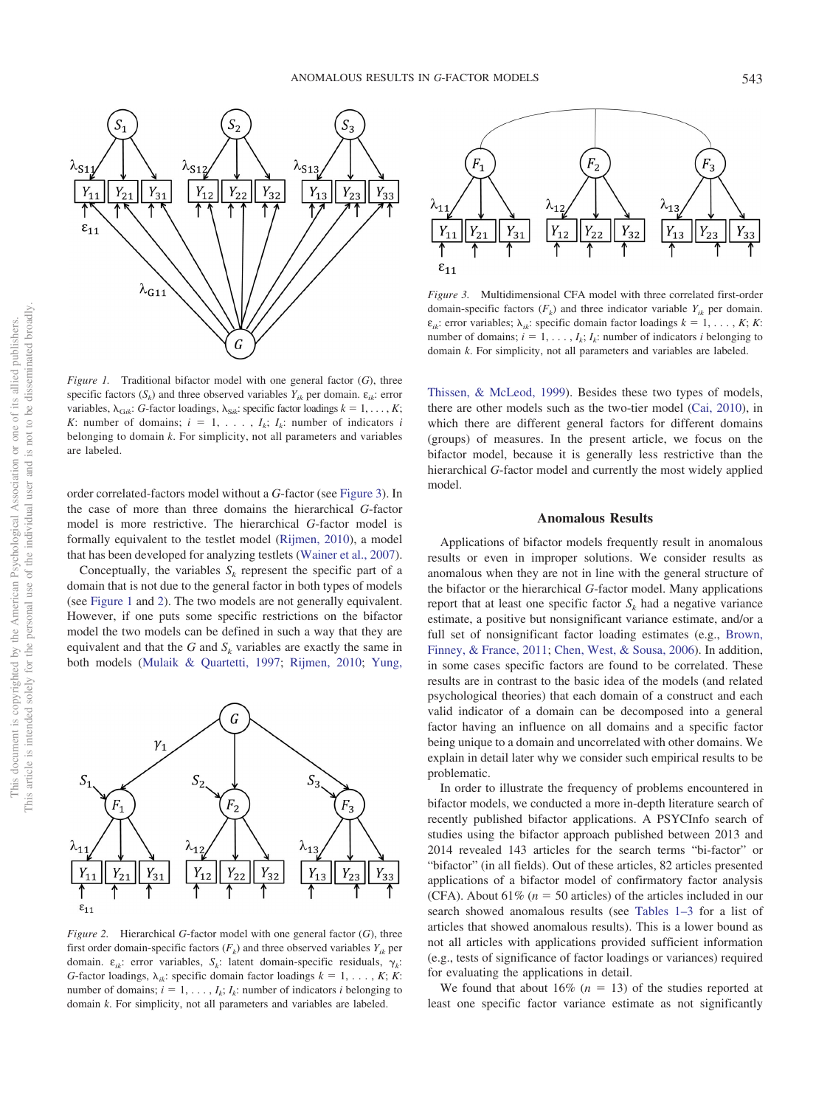

<span id="page-2-0"></span>*Figure 1.* Traditional bifactor model with one general factor (*G*), three specific factors  $(S_k)$  and three observed variables  $Y_{ik}$  per domain.  $\varepsilon_{ik}$ : error variables,  $\lambda_{Gik}$ : *G*-factor loadings,  $\lambda_{Sik}$ : specific factor loadings  $k = 1, ..., K$ ; *K*: number of domains;  $i = 1, \ldots, I_k$ ;  $I_k$ : number of indicators *i* belonging to domain *k*. For simplicity, not all parameters and variables are labeled.

order correlated-factors model without a *G*-factor (see [Figure 3\)](#page-2-2). In the case of more than three domains the hierarchical *G*-factor model is more restrictive. The hierarchical *G*-factor model is formally equivalent to the testlet model [\(Rijmen, 2010\)](#page-18-7), a model that has been developed for analyzing testlets [\(Wainer et al., 2007\)](#page-18-3).

Conceptually, the variables  $S_k$  represent the specific part of a domain that is not due to the general factor in both types of models (see [Figure 1](#page-2-0) and [2\)](#page-2-1). The two models are not generally equivalent. However, if one puts some specific restrictions on the bifactor model the two models can be defined in such a way that they are equivalent and that the  $G$  and  $S_k$  variables are exactly the same in both models [\(Mulaik & Quartetti, 1997;](#page-17-3) [Rijmen, 2010;](#page-18-7) [Yung,](#page-19-0)



<span id="page-2-1"></span>*Figure 2.* Hierarchical *G*-factor model with one general factor (*G*), three first order domain-specific factors  $(F_k)$  and three observed variables  $Y_{ik}$  per domain.  $\varepsilon_{ik}$ : error variables,  $S_k$ : latent domain-specific residuals,  $\gamma_k$ : *G*-factor loadings,  $\lambda_{ik}$ : specific domain factor loadings  $k = 1, \ldots, K$ ; *K*: number of domains;  $i = 1, \ldots, I_k; I_k$ : number of indicators *i* belonging to domain *k*. For simplicity, not all parameters and variables are labeled.



<span id="page-2-2"></span>*Figure 3.* Multidimensional CFA model with three correlated first-order domain-specific factors  $(F_k)$  and three indicator variable  $Y_{ik}$  per domain.  $\varepsilon_{ik}$ : error variables;  $\lambda_{ik}$ : specific domain factor loadings  $k = 1, \ldots, K; K$ : number of domains;  $i = 1, \ldots, I_k$ ;  $I_k$ : number of indicators *i* belonging to domain *k*. For simplicity, not all parameters and variables are labeled.

[Thissen, & McLeod, 1999\)](#page-19-0). Besides these two types of models, there are other models such as the two-tier model [\(Cai, 2010\)](#page-16-4), in which there are different general factors for different domains (groups) of measures. In the present article, we focus on the bifactor model, because it is generally less restrictive than the hierarchical *G*-factor model and currently the most widely applied model.

#### **Anomalous Results**

Applications of bifactor models frequently result in anomalous results or even in improper solutions. We consider results as anomalous when they are not in line with the general structure of the bifactor or the hierarchical *G*-factor model. Many applications report that at least one specific factor  $S_k$  had a negative variance estimate, a positive but nonsignificant variance estimate, and/or a full set of nonsignificant factor loading estimates (e.g., [Brown,](#page-16-5) [Finney, & France, 2011;](#page-16-5) [Chen, West, & Sousa, 2006\)](#page-16-6). In addition, in some cases specific factors are found to be correlated. These results are in contrast to the basic idea of the models (and related psychological theories) that each domain of a construct and each valid indicator of a domain can be decomposed into a general factor having an influence on all domains and a specific factor being unique to a domain and uncorrelated with other domains. We explain in detail later why we consider such empirical results to be problematic.

In order to illustrate the frequency of problems encountered in bifactor models, we conducted a more in-depth literature search of recently published bifactor applications. A PSYCInfo search of studies using the bifactor approach published between 2013 and 2014 revealed 143 articles for the search terms "bi-factor" or "bifactor" (in all fields). Out of these articles, 82 articles presented applications of a bifactor model of confirmatory factor analysis (CFA). About 61% ( $n = 50$  articles) of the articles included in our search showed anomalous results (see Tables 1–3 for a list of articles that showed anomalous results). This is a lower bound as not all articles with applications provided sufficient information (e.g., tests of significance of factor loadings or variances) required for evaluating the applications in detail.

We found that about  $16\%$  ( $n = 13$ ) of the studies reported at least one specific factor variance estimate as not significantly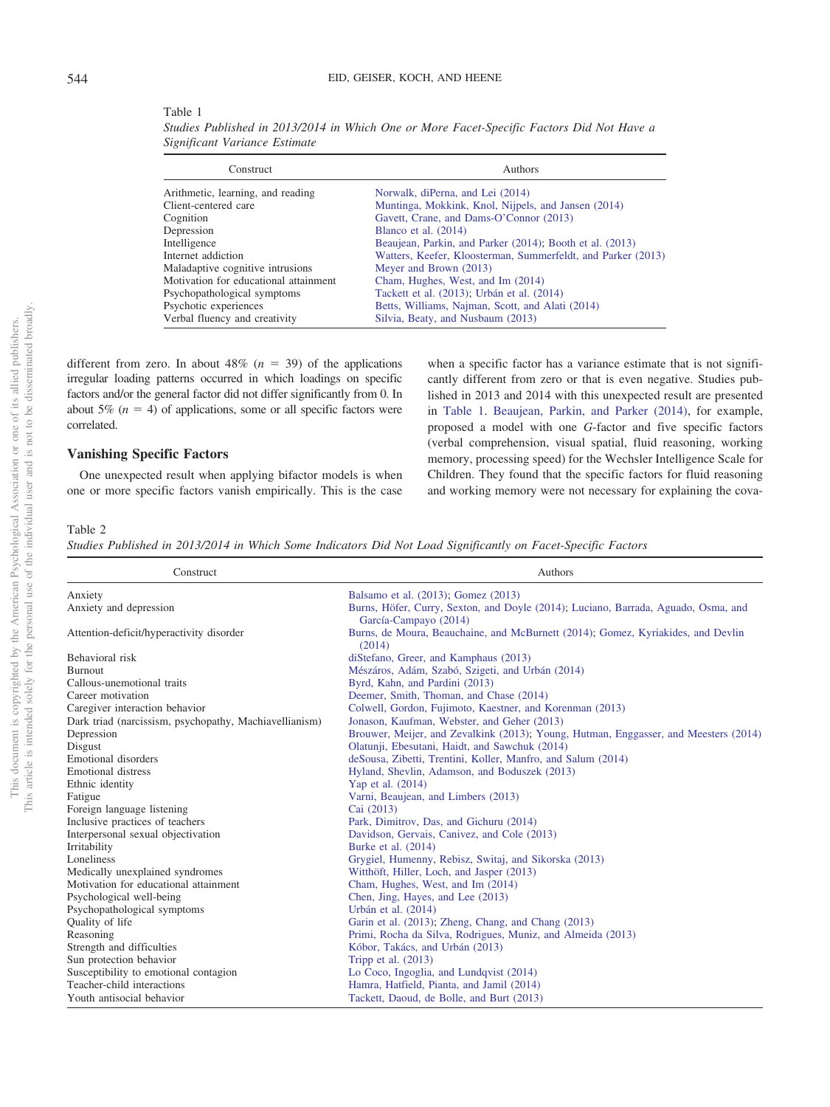### 544 EID, GEISER, KOCH, AND HEENE

| Studies Published in 2013/2014 in Which One or More Facet-Specific Factors Did Not Have a |  |  |  |  |
|-------------------------------------------------------------------------------------------|--|--|--|--|
| Significant Variance Estimate                                                             |  |  |  |  |

| Construct                             | <b>Authors</b>                                               |
|---------------------------------------|--------------------------------------------------------------|
| Arithmetic, learning, and reading     | Norwalk, diPerna, and Lei (2014)                             |
| Client-centered care                  | Muntinga, Mokkink, Knol, Nijpels, and Jansen (2014)          |
| Cognition                             | Gavett, Crane, and Dams-O'Connor (2013)                      |
| Depression                            | Blanco et al. (2014)                                         |
| Intelligence                          | Beaujean, Parkin, and Parker (2014); Booth et al. (2013)     |
| Internet addiction                    | Watters, Keefer, Kloosterman, Summerfeldt, and Parker (2013) |
| Maladaptive cognitive intrusions      | Meyer and Brown (2013)                                       |
| Motivation for educational attainment | Cham, Hughes, West, and Im (2014)                            |
| Psychopathological symptoms           | Tackett et al. (2013); Urbán et al. (2014)                   |
| Psychotic experiences                 | Betts, Williams, Najman, Scott, and Alati (2014)             |
| Verbal fluency and creativity         | Silvia, Beaty, and Nusbaum (2013)                            |

different from zero. In about  $48\%$  ( $n = 39$ ) of the applications irregular loading patterns occurred in which loadings on specific factors and/or the general factor did not differ significantly from 0. In about 5%  $(n = 4)$  of applications, some or all specific factors were correlated.

# **Vanishing Specific Factors**

<span id="page-3-0"></span>Table 1

One unexpected result when applying bifactor models is when one or more specific factors vanish empirically. This is the case

when a specific factor has a variance estimate that is not significantly different from zero or that is even negative. Studies published in 2013 and 2014 with this unexpected result are presented in [Table 1.](#page-3-0) [Beaujean, Parkin, and Parker \(2014\),](#page-15-0) for example, proposed a model with one *G*-factor and five specific factors (verbal comprehension, visual spatial, fluid reasoning, working memory, processing speed) for the Wechsler Intelligence Scale for Children. They found that the specific factors for fluid reasoning and working memory were not necessary for explaining the cova-

#### <span id="page-3-1"></span>Table 2

*Studies Published in 2013/2014 in Which Some Indicators Did Not Load Significantly on Facet-Specific Factors*

| Construct                                              | Authors                                                                                                     |  |  |
|--------------------------------------------------------|-------------------------------------------------------------------------------------------------------------|--|--|
| Anxiety                                                | Balsamo et al. (2013); Gomez (2013)                                                                         |  |  |
| Anxiety and depression                                 | Burns, Höfer, Curry, Sexton, and Doyle (2014); Luciano, Barrada, Aguado, Osma, and<br>García-Campayo (2014) |  |  |
| Attention-deficit/hyperactivity disorder               | Burns, de Moura, Beauchaine, and McBurnett (2014); Gomez, Kyriakides, and Devlin<br>(2014)                  |  |  |
| Behavioral risk                                        | diStefano, Greer, and Kamphaus (2013)                                                                       |  |  |
| <b>Burnout</b>                                         | Mészáros, Adám, Szabó, Szigeti, and Urbán (2014)                                                            |  |  |
| Callous-unemotional traits                             | Byrd, Kahn, and Pardini (2013)                                                                              |  |  |
| Career motivation                                      | Deemer, Smith, Thoman, and Chase (2014)                                                                     |  |  |
| Caregiver interaction behavior                         | Colwell, Gordon, Fujimoto, Kaestner, and Korenman (2013)                                                    |  |  |
| Dark triad (narcissism, psychopathy, Machiavellianism) | Jonason, Kaufman, Webster, and Geher (2013)                                                                 |  |  |
| Depression                                             | Brouwer, Meijer, and Zevalkink (2013); Young, Hutman, Enggasser, and Meesters (2014)                        |  |  |
| Disgust                                                | Olatunji, Ebesutani, Haidt, and Sawchuk (2014)                                                              |  |  |
| <b>Emotional disorders</b>                             | deSousa, Zibetti, Trentini, Koller, Manfro, and Salum (2014)                                                |  |  |
| <b>Emotional distress</b>                              | Hyland, Shevlin, Adamson, and Boduszek (2013)                                                               |  |  |
| Ethnic identity                                        | Yap et al. (2014)                                                                                           |  |  |
| Fatigue                                                | Varni, Beaujean, and Limbers (2013)                                                                         |  |  |
| Foreign language listening                             | Cai (2013)                                                                                                  |  |  |
| Inclusive practices of teachers                        | Park, Dimitrov, Das, and Gichuru (2014)                                                                     |  |  |
| Interpersonal sexual objectivation                     | Davidson, Gervais, Canivez, and Cole (2013)                                                                 |  |  |
| Irritability                                           | Burke et al. (2014)                                                                                         |  |  |
| Loneliness                                             | Grygiel, Humenny, Rebisz, Switaj, and Sikorska (2013)                                                       |  |  |
| Medically unexplained syndromes                        | Witthöft, Hiller, Loch, and Jasper (2013)                                                                   |  |  |
| Motivation for educational attainment                  | Cham, Hughes, West, and Im (2014)                                                                           |  |  |
| Psychological well-being                               | Chen, Jing, Hayes, and Lee (2013)                                                                           |  |  |
| Psychopathological symptoms                            | Urbán et al. (2014)                                                                                         |  |  |
| Quality of life                                        | Garin et al. (2013); Zheng, Chang, and Chang (2013)                                                         |  |  |
| Reasoning                                              | Primi, Rocha da Silva, Rodrigues, Muniz, and Almeida (2013)                                                 |  |  |
| Strength and difficulties                              | Kóbor, Takács, and Urbán (2013)                                                                             |  |  |
| Sun protection behavior                                | Tripp et al. $(2013)$                                                                                       |  |  |
| Susceptibility to emotional contagion                  | Lo Coco, Ingoglia, and Lundqvist (2014)                                                                     |  |  |
| Teacher-child interactions                             | Hamra, Hatfield, Pianta, and Jamil (2014)                                                                   |  |  |
| Youth antisocial behavior                              | Tackett, Daoud, de Bolle, and Burt (2013)                                                                   |  |  |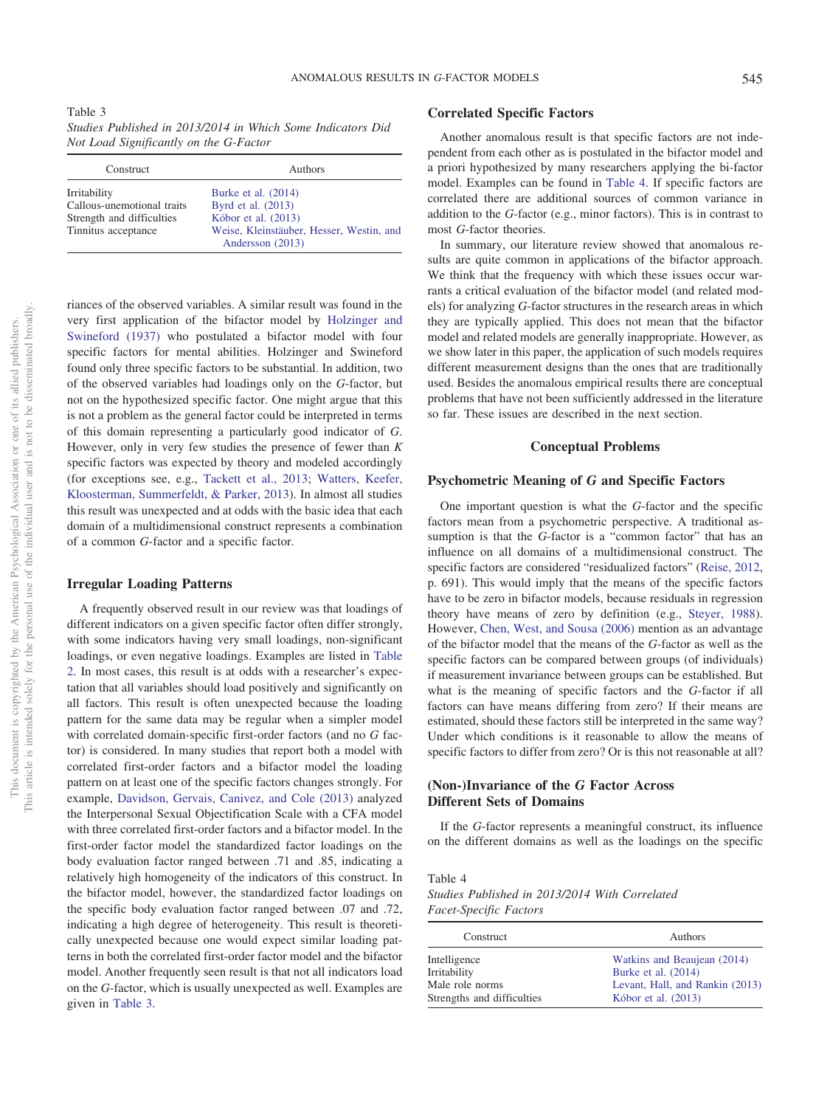<span id="page-4-0"></span>Table 3 *Studies Published in 2013/2014 in Which Some Indicators Did Not Load Significantly on the G-Factor*

| Construct                                                                                      | Authors                                                                                                                          |  |  |
|------------------------------------------------------------------------------------------------|----------------------------------------------------------------------------------------------------------------------------------|--|--|
| Irritability<br>Callous-unemotional traits<br>Strength and difficulties<br>Tinnitus acceptance | Burke et al. (2014)<br>Byrd et al. (2013)<br>Kóbor et al. (2013)<br>Weise, Kleinstäuber, Hesser, Westin, and<br>Andersson (2013) |  |  |

riances of the observed variables. A similar result was found in the very first application of the bifactor model by [Holzinger and](#page-17-1) [Swineford \(1937\)](#page-17-1) who postulated a bifactor model with four specific factors for mental abilities. Holzinger and Swineford found only three specific factors to be substantial. In addition, two of the observed variables had loadings only on the *G*-factor, but not on the hypothesized specific factor. One might argue that this is not a problem as the general factor could be interpreted in terms of this domain representing a particularly good indicator of *G*. However, only in very few studies the presence of fewer than *K* specific factors was expected by theory and modeled accordingly (for exceptions see, e.g., [Tackett et al., 2013;](#page-18-10) [Watters, Keefer,](#page-18-9) [Kloosterman, Summerfeldt, & Parker, 2013\)](#page-18-9). In almost all studies this result was unexpected and at odds with the basic idea that each domain of a multidimensional construct represents a combination of a common *G*-factor and a specific factor.

### **Irregular Loading Patterns**

A frequently observed result in our review was that loadings of different indicators on a given specific factor often differ strongly, with some indicators having very small loadings, non-significant loadings, or even negative loadings. Examples are listed in [Table](#page-3-1) [2.](#page-3-1) In most cases, this result is at odds with a researcher's expectation that all variables should load positively and significantly on all factors. This result is often unexpected because the loading pattern for the same data may be regular when a simpler model with correlated domain-specific first-order factors (and no *G* factor) is considered. In many studies that report both a model with correlated first-order factors and a bifactor model the loading pattern on at least one of the specific factors changes strongly. For example, [Davidson, Gervais, Canivez, and Cole \(2013\)](#page-16-20) analyzed the Interpersonal Sexual Objectification Scale with a CFA model with three correlated first-order factors and a bifactor model. In the first-order factor model the standardized factor loadings on the body evaluation factor ranged between .71 and .85, indicating a relatively high homogeneity of the indicators of this construct. In the bifactor model, however, the standardized factor loadings on the specific body evaluation factor ranged between .07 and .72, indicating a high degree of heterogeneity. This result is theoretically unexpected because one would expect similar loading patterns in both the correlated first-order factor model and the bifactor model. Another frequently seen result is that not all indicators load on the *G*-factor, which is usually unexpected as well. Examples are given in [Table 3.](#page-4-0)

# **Correlated Specific Factors**

Another anomalous result is that specific factors are not independent from each other as is postulated in the bifactor model and a priori hypothesized by many researchers applying the bi-factor model. Examples can be found in [Table 4.](#page-4-1) If specific factors are correlated there are additional sources of common variance in addition to the *G*-factor (e.g., minor factors). This is in contrast to most *G*-factor theories.

In summary, our literature review showed that anomalous results are quite common in applications of the bifactor approach. We think that the frequency with which these issues occur warrants a critical evaluation of the bifactor model (and related models) for analyzing *G*-factor structures in the research areas in which they are typically applied. This does not mean that the bifactor model and related models are generally inappropriate. However, as we show later in this paper, the application of such models requires different measurement designs than the ones that are traditionally used. Besides the anomalous empirical results there are conceptual problems that have not been sufficiently addressed in the literature so far. These issues are described in the next section.

### **Conceptual Problems**

# **Psychometric Meaning of** *G* **and Specific Factors**

One important question is what the *G*-factor and the specific factors mean from a psychometric perspective. A traditional assumption is that the *G*-factor is a "common factor" that has an influence on all domains of a multidimensional construct. The specific factors are considered "residualized factors" [\(Reise, 2012,](#page-18-1) p. 691). This would imply that the means of the specific factors have to be zero in bifactor models, because residuals in regression theory have means of zero by definition (e.g., [Steyer, 1988\)](#page-18-18). However, [Chen, West, and Sousa \(2006\)](#page-16-6) mention as an advantage of the bifactor model that the means of the *G*-factor as well as the specific factors can be compared between groups (of individuals) if measurement invariance between groups can be established. But what is the meaning of specific factors and the *G*-factor if all factors can have means differing from zero? If their means are estimated, should these factors still be interpreted in the same way? Under which conditions is it reasonable to allow the means of specific factors to differ from zero? Or is this not reasonable at all?

# **(Non-)Invariance of the** *G* **Factor Across Different Sets of Domains**

If the *G*-factor represents a meaningful construct, its influence on the different domains as well as the loadings on the specific

#### <span id="page-4-1"></span>Table 4

*Studies Published in 2013/2014 With Correlated Facet-Specific Factors*

| Construct                  | Authors                         |  |  |
|----------------------------|---------------------------------|--|--|
| Intelligence               | Watkins and Beaujean (2014)     |  |  |
| Irritability               | Burke et al. (2014)             |  |  |
| Male role norms            | Levant, Hall, and Rankin (2013) |  |  |
| Strengths and difficulties | Kóbor et al. (2013)             |  |  |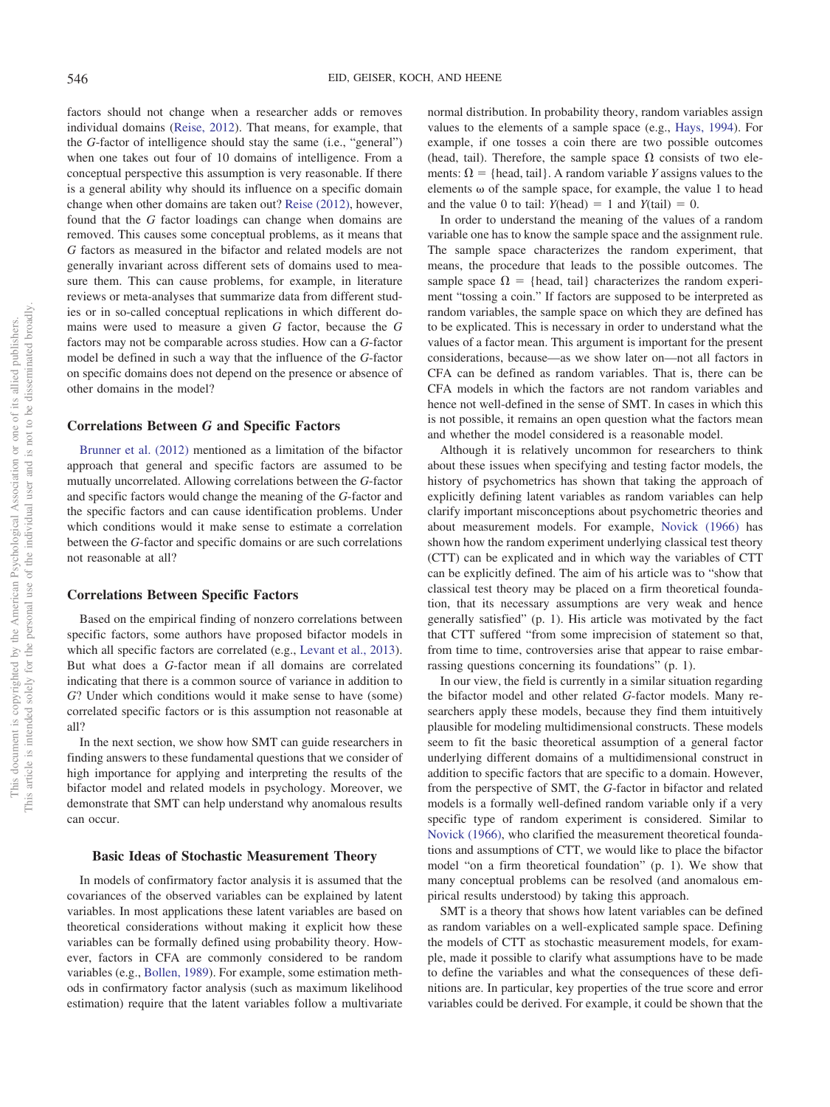factors should not change when a researcher adds or removes individual domains [\(Reise, 2012\)](#page-18-1). That means, for example, that the *G*-factor of intelligence should stay the same (i.e., "general") when one takes out four of 10 domains of intelligence. From a conceptual perspective this assumption is very reasonable. If there is a general ability why should its influence on a specific domain change when other domains are taken out? [Reise \(2012\),](#page-18-1) however, found that the *G* factor loadings can change when domains are removed. This causes some conceptual problems, as it means that *G* factors as measured in the bifactor and related models are not generally invariant across different sets of domains used to measure them. This can cause problems, for example, in literature reviews or meta-analyses that summarize data from different studies or in so-called conceptual replications in which different domains were used to measure a given *G* factor, because the *G* factors may not be comparable across studies. How can a *G*-factor model be defined in such a way that the influence of the *G*-factor on specific domains does not depend on the presence or absence of other domains in the model?

### **Correlations Between** *G* **and Specific Factors**

[Brunner et al. \(2012\)](#page-16-3) mentioned as a limitation of the bifactor approach that general and specific factors are assumed to be mutually uncorrelated. Allowing correlations between the *G*-factor and specific factors would change the meaning of the *G*-factor and the specific factors and can cause identification problems. Under which conditions would it make sense to estimate a correlation between the *G*-factor and specific domains or are such correlations not reasonable at all?

### **Correlations Between Specific Factors**

Based on the empirical finding of nonzero correlations between specific factors, some authors have proposed bifactor models in which all specific factors are correlated (e.g., [Levant et al., 2013\)](#page-17-17). But what does a *G*-factor mean if all domains are correlated indicating that there is a common source of variance in addition to *G*? Under which conditions would it make sense to have (some) correlated specific factors or is this assumption not reasonable at all?

In the next section, we show how SMT can guide researchers in finding answers to these fundamental questions that we consider of high importance for applying and interpreting the results of the bifactor model and related models in psychology. Moreover, we demonstrate that SMT can help understand why anomalous results can occur.

# **Basic Ideas of Stochastic Measurement Theory**

In models of confirmatory factor analysis it is assumed that the covariances of the observed variables can be explained by latent variables. In most applications these latent variables are based on theoretical considerations without making it explicit how these variables can be formally defined using probability theory. However, factors in CFA are commonly considered to be random variables (e.g., [Bollen, 1989\)](#page-16-22). For example, some estimation methods in confirmatory factor analysis (such as maximum likelihood estimation) require that the latent variables follow a multivariate normal distribution. In probability theory, random variables assign values to the elements of a sample space (e.g., [Hays, 1994\)](#page-17-18). For example, if one tosses a coin there are two possible outcomes (head, tail). Therefore, the sample space  $\Omega$  consists of two elements:  $\Omega = \{head, tail\}$ . A random variable *Y* assigns values to the elements  $\omega$  of the sample space, for example, the value 1 to head and the value 0 to tail:  $Y(\text{head}) = 1$  and  $Y(\text{tail}) = 0$ .

In order to understand the meaning of the values of a random variable one has to know the sample space and the assignment rule. The sample space characterizes the random experiment, that means, the procedure that leads to the possible outcomes. The sample space  $\Omega = \{head, tail\}$  characterizes the random experiment "tossing a coin." If factors are supposed to be interpreted as random variables, the sample space on which they are defined has to be explicated. This is necessary in order to understand what the values of a factor mean. This argument is important for the present considerations, because—as we show later on—not all factors in CFA can be defined as random variables. That is, there can be CFA models in which the factors are not random variables and hence not well-defined in the sense of SMT. In cases in which this is not possible, it remains an open question what the factors mean and whether the model considered is a reasonable model.

Although it is relatively uncommon for researchers to think about these issues when specifying and testing factor models, the history of psychometrics has shown that taking the approach of explicitly defining latent variables as random variables can help clarify important misconceptions about psychometric theories and about measurement models. For example, [Novick \(1966\)](#page-18-21) has shown how the random experiment underlying classical test theory (CTT) can be explicated and in which way the variables of CTT can be explicitly defined. The aim of his article was to "show that classical test theory may be placed on a firm theoretical foundation, that its necessary assumptions are very weak and hence generally satisfied" (p. 1). His article was motivated by the fact that CTT suffered "from some imprecision of statement so that, from time to time, controversies arise that appear to raise embarrassing questions concerning its foundations" (p. 1).

In our view, the field is currently in a similar situation regarding the bifactor model and other related *G*-factor models. Many researchers apply these models, because they find them intuitively plausible for modeling multidimensional constructs. These models seem to fit the basic theoretical assumption of a general factor underlying different domains of a multidimensional construct in addition to specific factors that are specific to a domain. However, from the perspective of SMT, the *G*-factor in bifactor and related models is a formally well-defined random variable only if a very specific type of random experiment is considered. Similar to [Novick \(1966\),](#page-18-21) who clarified the measurement theoretical foundations and assumptions of CTT, we would like to place the bifactor model "on a firm theoretical foundation" (p. 1). We show that many conceptual problems can be resolved (and anomalous empirical results understood) by taking this approach.

SMT is a theory that shows how latent variables can be defined as random variables on a well-explicated sample space. Defining the models of CTT as stochastic measurement models, for example, made it possible to clarify what assumptions have to be made to define the variables and what the consequences of these definitions are. In particular, key properties of the true score and error variables could be derived. For example, it could be shown that the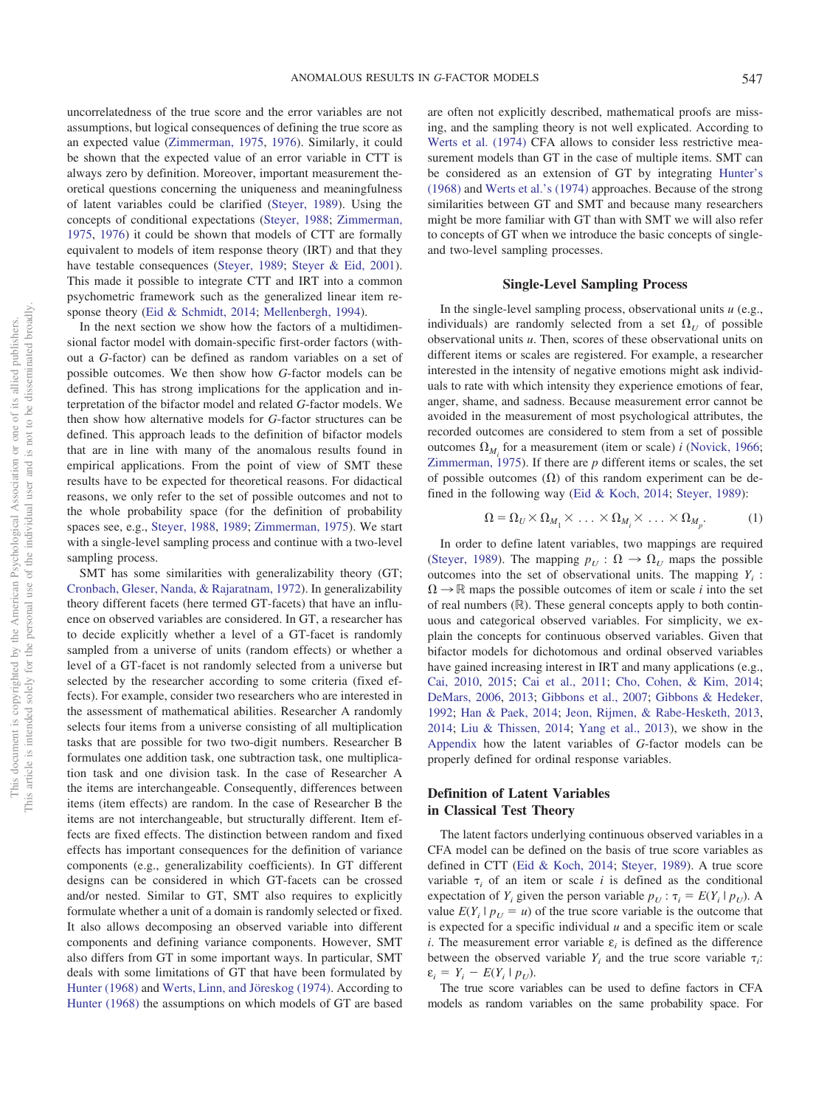uncorrelatedness of the true score and the error variables are not assumptions, but logical consequences of defining the true score as an expected value [\(Zimmerman, 1975,](#page-19-5) [1976\)](#page-19-6). Similarly, it could be shown that the expected value of an error variable in CTT is always zero by definition. Moreover, important measurement theoretical questions concerning the uniqueness and meaningfulness of latent variables could be clarified [\(Steyer, 1989\)](#page-18-4). Using the concepts of conditional expectations [\(Steyer, 1988;](#page-18-18) [Zimmerman,](#page-19-5) [1975,](#page-19-5) [1976\)](#page-19-6) it could be shown that models of CTT are formally equivalent to models of item response theory (IRT) and that they have testable consequences [\(Steyer, 1989;](#page-18-4) [Steyer & Eid, 2001\)](#page-18-22). This made it possible to integrate CTT and IRT into a common psychometric framework such as the generalized linear item response theory [\(Eid & Schmidt, 2014;](#page-17-19) [Mellenbergh, 1994\)](#page-17-20).

In the next section we show how the factors of a multidimensional factor model with domain-specific first-order factors (without a *G*-factor) can be defined as random variables on a set of possible outcomes. We then show how *G*-factor models can be defined. This has strong implications for the application and interpretation of the bifactor model and related *G*-factor models. We then show how alternative models for *G*-factor structures can be defined. This approach leads to the definition of bifactor models that are in line with many of the anomalous results found in empirical applications. From the point of view of SMT these results have to be expected for theoretical reasons. For didactical reasons, we only refer to the set of possible outcomes and not to the whole probability space (for the definition of probability spaces see, e.g., [Steyer, 1988,](#page-18-18) [1989;](#page-18-4) [Zimmerman, 1975\)](#page-19-5). We start with a single-level sampling process and continue with a two-level sampling process.

SMT has some similarities with generalizability theory (GT; [Cronbach, Gleser, Nanda, & Rajaratnam, 1972\)](#page-16-23). In generalizability theory different facets (here termed GT-facets) that have an influence on observed variables are considered. In GT, a researcher has to decide explicitly whether a level of a GT-facet is randomly sampled from a universe of units (random effects) or whether a level of a GT-facet is not randomly selected from a universe but selected by the researcher according to some criteria (fixed effects). For example, consider two researchers who are interested in the assessment of mathematical abilities. Researcher A randomly selects four items from a universe consisting of all multiplication tasks that are possible for two two-digit numbers. Researcher B formulates one addition task, one subtraction task, one multiplication task and one division task. In the case of Researcher A the items are interchangeable. Consequently, differences between items (item effects) are random. In the case of Researcher B the items are not interchangeable, but structurally different. Item effects are fixed effects. The distinction between random and fixed effects has important consequences for the definition of variance components (e.g., generalizability coefficients). In GT different designs can be considered in which GT-facets can be crossed and/or nested. Similar to GT, SMT also requires to explicitly formulate whether a unit of a domain is randomly selected or fixed. It also allows decomposing an observed variable into different components and defining variance components. However, SMT also differs from GT in some important ways. In particular, SMT deals with some limitations of GT that have been formulated by [Hunter \(1968\)](#page-17-21) and [Werts, Linn, and Jöreskog \(1974\).](#page-19-7) According to [Hunter \(1968\)](#page-17-21) the assumptions on which models of GT are based

are often not explicitly described, mathematical proofs are missing, and the sampling theory is not well explicated. According to [Werts et al. \(1974\)](#page-19-7) CFA allows to consider less restrictive measurement models than GT in the case of multiple items. SMT can be considered as an extension of GT by integrating [Hunter's](#page-17-21) [\(1968\)](#page-17-21) and [Werts et al.'s \(1974\)](#page-19-7) approaches. Because of the strong similarities between GT and SMT and because many researchers might be more familiar with GT than with SMT we will also refer to concepts of GT when we introduce the basic concepts of singleand two-level sampling processes.

## **Single-Level Sampling Process**

In the single-level sampling process, observational units *u* (e.g., individuals) are randomly selected from a set  $\Omega_{U}$  of possible observational units *u*. Then, scores of these observational units on different items or scales are registered. For example, a researcher interested in the intensity of negative emotions might ask individuals to rate with which intensity they experience emotions of fear, anger, shame, and sadness. Because measurement error cannot be avoided in the measurement of most psychological attributes, the recorded outcomes are considered to stem from a set of possible outcomes  $\Omega_{M_i}$  for a measurement (item or scale) *i* [\(Novick, 1966;](#page-18-21) Zimmerman,  $1975$ ). If there are  $p$  different items or scales, the set of possible outcomes  $(\Omega)$  of this random experiment can be defined in the following way [\(Eid & Koch, 2014;](#page-16-24) [Steyer, 1989\)](#page-18-4):

$$
\Omega = \Omega_U \times \Omega_{M_1} \times \ldots \times \Omega_{M_i} \times \ldots \times \Omega_{M_p}.
$$
 (1)

In order to define latent variables, two mappings are required [\(Steyer, 1989\)](#page-18-4). The mapping  $p_U : \Omega \to \Omega_U$  maps the possible outcomes into the set of observational units. The mapping  $Y_i$ :  $\Omega \rightarrow \mathbb{R}$  maps the possible outcomes of item or scale *i* into the set of real numbers  $(\mathbb{R})$ . These general concepts apply to both continuous and categorical observed variables. For simplicity, we explain the concepts for continuous observed variables. Given that bifactor models for dichotomous and ordinal observed variables have gained increasing interest in IRT and many applications (e.g., [Cai, 2010,](#page-16-4) [2015;](#page-16-25) [Cai et al., 2011;](#page-16-1) [Cho, Cohen, & Kim, 2014;](#page-16-26) [DeMars, 2006,](#page-16-27) [2013;](#page-16-28) [Gibbons et al., 2007;](#page-17-22) [Gibbons & Hedeker,](#page-17-23) [1992;](#page-17-23) [Han & Paek, 2014;](#page-17-24) [Jeon, Rijmen, & Rabe-Hesketh, 2013,](#page-17-25) [2014;](#page-17-26) [Liu & Thissen, 2014;](#page-17-27) [Yang et al., 2013\)](#page-19-8), we show in the [Appendix](#page-19-9) how the latent variables of *G*-factor models can be properly defined for ordinal response variables.

# **Definition of Latent Variables in Classical Test Theory**

The latent factors underlying continuous observed variables in a CFA model can be defined on the basis of true score variables as defined in CTT [\(Eid & Koch, 2014;](#page-16-24) [Steyer, 1989\)](#page-18-4). A true score variable  $\tau_i$  of an item or scale *i* is defined as the conditional expectation of *Y<sub>i</sub>* given the person variable  $p_U : \tau_i = E(Y_i | p_U)$ . A value  $E(Y_i | p_U = u)$  of the true score variable is the outcome that is expected for a specific individual *u* and a specific item or scale *i*. The measurement error variable  $\varepsilon$ <sub>*i*</sub> is defined as the difference between the observed variable  $Y_i$  and the true score variable  $\tau_i$ :  $\varepsilon_i = Y_i - E(Y_i \mid p_U).$ 

The true score variables can be used to define factors in CFA models as random variables on the same probability space. For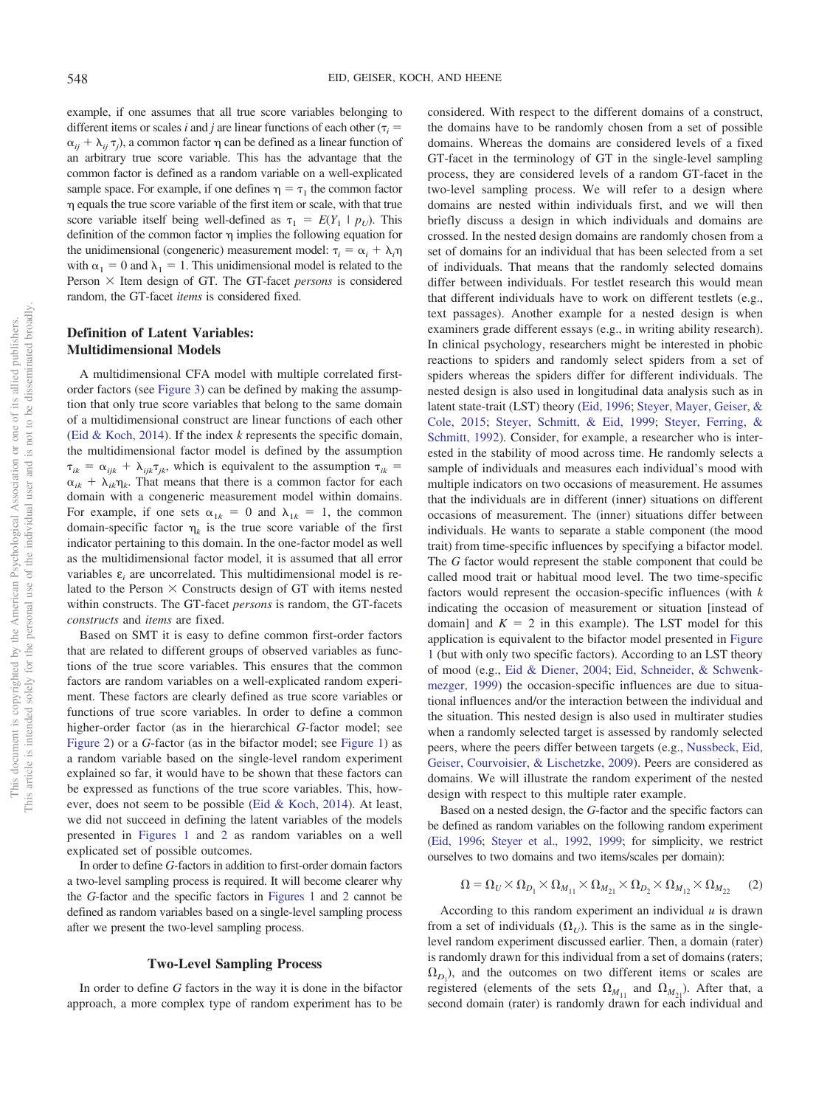example, if one assumes that all true score variables belonging to different items or scales *i* and *j* are linear functions of each other ( $\tau$ <sub>*i*</sub> =  $\alpha_{ij} + \lambda_{ij} \tau_j$ , a common factor  $\eta$  can be defined as a linear function of an arbitrary true score variable. This has the advantage that the common factor is defined as a random variable on a well-explicated sample space. For example, if one defines  $\eta = \tau_1$  the common factor  $\eta$  equals the true score variable of the first item or scale, with that true score variable itself being well-defined as  $\tau_1 = E(Y_1 | p_U)$ . This definition of the common factor  $\eta$  implies the following equation for the unidimensional (congeneric) measurement model:  $\tau_i = \alpha_i + \lambda_i \eta$ with  $\alpha_1 = 0$  and  $\lambda_1 = 1$ . This unidimensional model is related to the Person  $\times$  Item design of GT. The GT-facet *persons* is considered random, the GT-facet *items* is considered fixed.

# **Definition of Latent Variables: Multidimensional Models**

A multidimensional CFA model with multiple correlated firstorder factors (see [Figure 3\)](#page-2-2) can be defined by making the assumption that only true score variables that belong to the same domain of a multidimensional construct are linear functions of each other [\(Eid & Koch, 2014\)](#page-16-24). If the index *k* represents the specific domain, the multidimensional factor model is defined by the assumption  $\tau_{ik} = \alpha_{ijk} + \lambda_{ijk} \tau_{jk}$ , which is equivalent to the assumption  $\tau_{ik} =$  $\alpha_{ik} + \lambda_{ik} \eta_k$ . That means that there is a common factor for each domain with a congeneric measurement model within domains. For example, if one sets  $\alpha_{1k} = 0$  and  $\lambda_{1k} = 1$ , the common domain-specific factor  $\eta_k$  is the true score variable of the first indicator pertaining to this domain. In the one-factor model as well as the multidimensional factor model, it is assumed that all error variables  $\varepsilon_i$  are uncorrelated. This multidimensional model is related to the Person  $\times$  Constructs design of GT with items nested within constructs. The GT-facet *persons* is random, the GT-facets *constructs* and *items* are fixed.

Based on SMT it is easy to define common first-order factors that are related to different groups of observed variables as functions of the true score variables. This ensures that the common factors are random variables on a well-explicated random experiment. These factors are clearly defined as true score variables or functions of true score variables. In order to define a common higher-order factor (as in the hierarchical *G*-factor model; see [Figure 2\)](#page-2-1) or a *G*-factor (as in the bifactor model; see [Figure 1\)](#page-2-0) as a random variable based on the single-level random experiment explained so far, it would have to be shown that these factors can be expressed as functions of the true score variables. This, however, does not seem to be possible [\(Eid & Koch, 2014\)](#page-16-24). At least, we did not succeed in defining the latent variables of the models presented in [Figures 1](#page-2-0) and [2](#page-2-1) as random variables on a well explicated set of possible outcomes.

In order to define *G-*factors in addition to first-order domain factors a two-level sampling process is required. It will become clearer why the *G*-factor and the specific factors in [Figures 1](#page-2-0) and [2](#page-2-1) cannot be defined as random variables based on a single-level sampling process after we present the two-level sampling process.

### **Two-Level Sampling Process**

In order to define *G* factors in the way it is done in the bifactor approach, a more complex type of random experiment has to be considered. With respect to the different domains of a construct, the domains have to be randomly chosen from a set of possible domains. Whereas the domains are considered levels of a fixed GT-facet in the terminology of GT in the single-level sampling process, they are considered levels of a random GT-facet in the two-level sampling process. We will refer to a design where domains are nested within individuals first, and we will then briefly discuss a design in which individuals and domains are crossed. In the nested design domains are randomly chosen from a set of domains for an individual that has been selected from a set of individuals. That means that the randomly selected domains differ between individuals. For testlet research this would mean that different individuals have to work on different testlets (e.g., text passages). Another example for a nested design is when examiners grade different essays (e.g., in writing ability research). In clinical psychology, researchers might be interested in phobic reactions to spiders and randomly select spiders from a set of spiders whereas the spiders differ for different individuals. The nested design is also used in longitudinal data analysis such as in latent state-trait (LST) theory [\(Eid, 1996;](#page-16-2) [Steyer, Mayer, Geiser, &](#page-18-23) [Cole, 2015;](#page-18-23) [Steyer, Schmitt, & Eid, 1999;](#page-18-24) [Steyer, Ferring, &](#page-18-25) [Schmitt, 1992\)](#page-18-25). Consider, for example, a researcher who is interested in the stability of mood across time. He randomly selects a sample of individuals and measures each individual's mood with multiple indicators on two occasions of measurement. He assumes that the individuals are in different (inner) situations on different occasions of measurement. The (inner) situations differ between individuals. He wants to separate a stable component (the mood trait) from time-specific influences by specifying a bifactor model. The *G* factor would represent the stable component that could be called mood trait or habitual mood level. The two time-specific factors would represent the occasion-specific influences (with *k* indicating the occasion of measurement or situation [instead of domain] and  $K = 2$  in this example). The LST model for this application is equivalent to the bifactor model presented in [Figure](#page-2-0) [1](#page-2-0) (but with only two specific factors). According to an LST theory of mood (e.g., [Eid & Diener, 2004;](#page-16-29) [Eid, Schneider, & Schwenk](#page-17-28)[mezger, 1999\)](#page-17-28) the occasion-specific influences are due to situational influences and/or the interaction between the individual and the situation. This nested design is also used in multirater studies when a randomly selected target is assessed by randomly selected peers, where the peers differ between targets (e.g., [Nussbeck, Eid,](#page-18-26) [Geiser, Courvoisier, & Lischetzke, 2009\)](#page-18-26). Peers are considered as domains. We will illustrate the random experiment of the nested design with respect to this multiple rater example.

Based on a nested design, the *G*-factor and the specific factors can be defined as random variables on the following random experiment [\(Eid, 1996;](#page-16-2) [Steyer et al., 1992,](#page-18-25) [1999;](#page-18-24) for simplicity, we restrict ourselves to two domains and two items/scales per domain):

$$
\Omega = \Omega_U \times \Omega_{D_1} \times \Omega_{M_{11}} \times \Omega_{M_{21}} \times \Omega_{D_2} \times \Omega_{M_{12}} \times \Omega_{M_{22}} \tag{2}
$$

According to this random experiment an individual *u* is drawn from a set of individuals  $(\Omega_{U})$ . This is the same as in the singlelevel random experiment discussed earlier. Then, a domain (rater) is randomly drawn for this individual from a set of domains (raters;  $\Omega_{D_1}$ ), and the outcomes on two different items or scales are registered (elements of the sets  $\Omega_{M_{11}}$  and  $\Omega_{M_{21}}$ ). After that, a second domain (rater) is randomly drawn for each individual and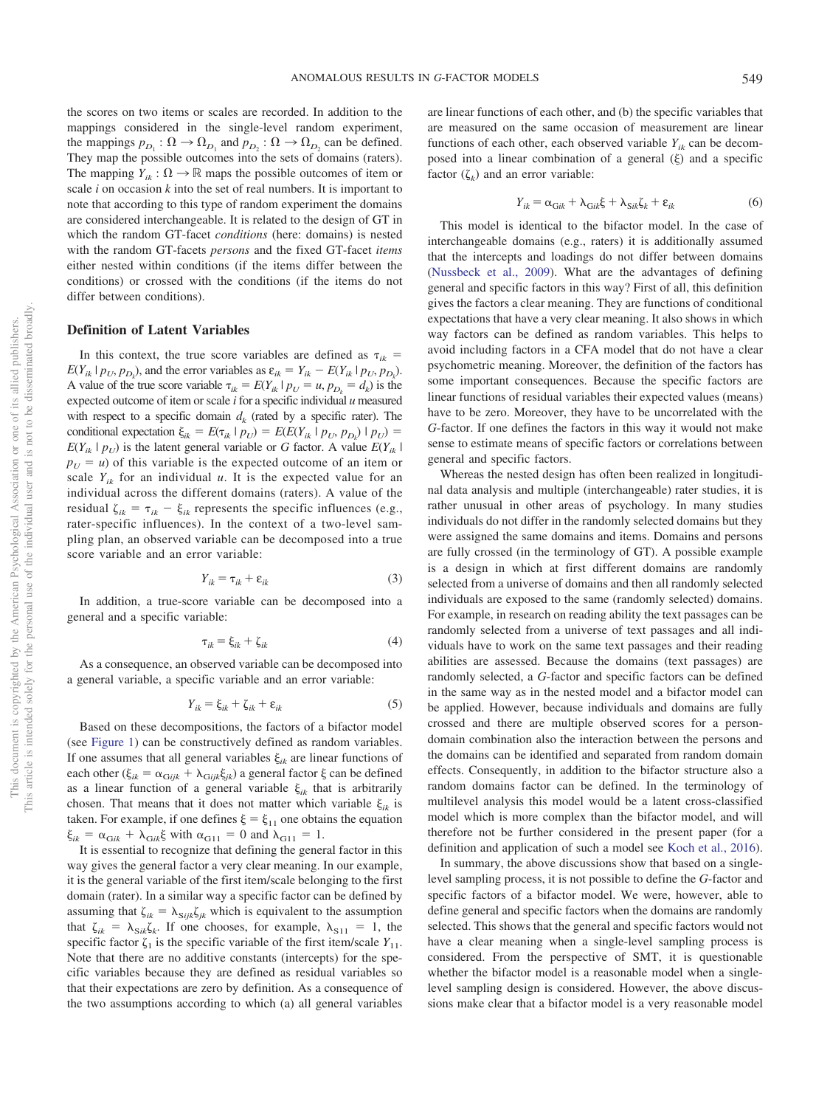the scores on two items or scales are recorded. In addition to the mappings considered in the single-level random experiment, the mappings  $p_{D_1}$ :  $\Omega \rightarrow \Omega_{D_1}$  and  $p_{D_2}$ :  $\Omega \rightarrow \Omega_{D_2}$  can be defined. They map the possible outcomes into the sets of domains (raters). The mapping  $Y_{ik}: \Omega \to \mathbb{R}$  maps the possible outcomes of item or scale *i* on occasion *k* into the set of real numbers. It is important to note that according to this type of random experiment the domains are considered interchangeable. It is related to the design of GT in which the random GT-facet *conditions* (here: domains) is nested with the random GT-facets *persons* and the fixed GT-facet *items* either nested within conditions (if the items differ between the conditions) or crossed with the conditions (if the items do not differ between conditions).

# **Definition of Latent Variables**

In this context, the true score variables are defined as  $\tau_{ik}$  $E(Y_{ik} | p_U, p_{D_k})$ , and the error variables as  $\varepsilon_{ik} = Y_{ik} - E(Y_{ik} | p_U, p_{D_k})$ . A value of the true score variable  $\tau_{ik} = E(Y_{ik} | p_U = u, p_D = d_k)$  is the expected outcome of item or scale *i* for a specific individual *u* measured with respect to a specific domain  $d_k$  (rated by a specific rater). The conditional expectation  $\xi_{ik} = E(\tau_{ik} | p_U) = E(E(Y_{ik} | p_U, p_{D_k}) | p_U) =$  $E(Y_{ik} | p_U)$  is the latent general variable or *G* factor. A value  $E(Y_{ik} | p_U)$  $p_U = u$ ) of this variable is the expected outcome of an item or scale  $Y_{ik}$  for an individual *u*. It is the expected value for an individual across the different domains (raters). A value of the residual  $\zeta_{ik} = \tau_{ik} - \xi_{ik}$  represents the specific influences (e.g., rater-specific influences). In the context of a two-level sampling plan, an observed variable can be decomposed into a true score variable and an error variable:

$$
Y_{ik} = \tau_{ik} + \varepsilon_{ik} \tag{3}
$$

In addition, a true-score variable can be decomposed into a general and a specific variable:

$$
\tau_{ik} = \xi_{ik} + \zeta_{ik} \tag{4}
$$

As a consequence, an observed variable can be decomposed into a general variable, a specific variable and an error variable:

$$
Y_{ik} = \xi_{ik} + \zeta_{ik} + \varepsilon_{ik} \tag{5}
$$

Based on these decompositions, the factors of a bifactor model (see [Figure 1\)](#page-2-0) can be constructively defined as random variables. If one assumes that all general variables  $\xi_{ik}$  are linear functions of each other ( $\xi_{ik} = \alpha_{Gijk} + \lambda_{Gijk}\xi_{jk}$ ) a general factor  $\xi$  can be defined as a linear function of a general variable  $\xi_{ik}$  that is arbitrarily chosen. That means that it does not matter which variable  $\xi_{ik}$  is taken. For example, if one defines  $\xi = \xi_{11}$  one obtains the equation  $\xi_{ik} = \alpha_{\text{G}ik} + \lambda_{\text{G}ik}\xi$  with  $\alpha_{\text{G}11} = 0$  and  $\lambda_{\text{G}11} = 1$ .

It is essential to recognize that defining the general factor in this way gives the general factor a very clear meaning. In our example, it is the general variable of the first item/scale belonging to the first domain (rater). In a similar way a specific factor can be defined by assuming that  $\zeta_{ik} = \lambda_{Sijk}\zeta_{jk}$  which is equivalent to the assumption that  $\zeta_{ik} = \lambda_{\text{Sik}} \zeta_{k}$ . If one chooses, for example,  $\lambda_{\text{S11}} = 1$ , the specific factor  $\zeta_1$  is the specific variable of the first item/scale  $Y_{11}$ . Note that there are no additive constants (intercepts) for the specific variables because they are defined as residual variables so that their expectations are zero by definition. As a consequence of the two assumptions according to which (a) all general variables

are linear functions of each other, and (b) the specific variables that are measured on the same occasion of measurement are linear functions of each other, each observed variable  $Y_{ik}$  can be decomposed into a linear combination of a general  $(\xi)$  and a specific factor  $(\zeta_k)$  and an error variable:

$$
Y_{ik} = \alpha_{\text{Gik}} + \lambda_{\text{Gik}} \xi + \lambda_{\text{Sik}} \zeta_k + \varepsilon_{ik} \tag{6}
$$

This model is identical to the bifactor model. In the case of interchangeable domains (e.g., raters) it is additionally assumed that the intercepts and loadings do not differ between domains [\(Nussbeck et al., 2009\)](#page-18-26). What are the advantages of defining general and specific factors in this way? First of all, this definition gives the factors a clear meaning. They are functions of conditional expectations that have a very clear meaning. It also shows in which way factors can be defined as random variables. This helps to avoid including factors in a CFA model that do not have a clear psychometric meaning. Moreover, the definition of the factors has some important consequences. Because the specific factors are linear functions of residual variables their expected values (means) have to be zero. Moreover, they have to be uncorrelated with the *G*-factor. If one defines the factors in this way it would not make sense to estimate means of specific factors or correlations between general and specific factors.

Whereas the nested design has often been realized in longitudinal data analysis and multiple (interchangeable) rater studies, it is rather unusual in other areas of psychology. In many studies individuals do not differ in the randomly selected domains but they were assigned the same domains and items. Domains and persons are fully crossed (in the terminology of GT). A possible example is a design in which at first different domains are randomly selected from a universe of domains and then all randomly selected individuals are exposed to the same (randomly selected) domains. For example, in research on reading ability the text passages can be randomly selected from a universe of text passages and all individuals have to work on the same text passages and their reading abilities are assessed. Because the domains (text passages) are randomly selected, a *G*-factor and specific factors can be defined in the same way as in the nested model and a bifactor model can be applied. However, because individuals and domains are fully crossed and there are multiple observed scores for a persondomain combination also the interaction between the persons and the domains can be identified and separated from random domain effects. Consequently, in addition to the bifactor structure also a random domains factor can be defined. In the terminology of multilevel analysis this model would be a latent cross-classified model which is more complex than the bifactor model, and will therefore not be further considered in the present paper (for a definition and application of such a model see [Koch et al., 2016\)](#page-17-29).

In summary, the above discussions show that based on a singlelevel sampling process, it is not possible to define the *G*-factor and specific factors of a bifactor model. We were, however, able to define general and specific factors when the domains are randomly selected. This shows that the general and specific factors would not have a clear meaning when a single-level sampling process is considered. From the perspective of SMT, it is questionable whether the bifactor model is a reasonable model when a singlelevel sampling design is considered. However, the above discussions make clear that a bifactor model is a very reasonable model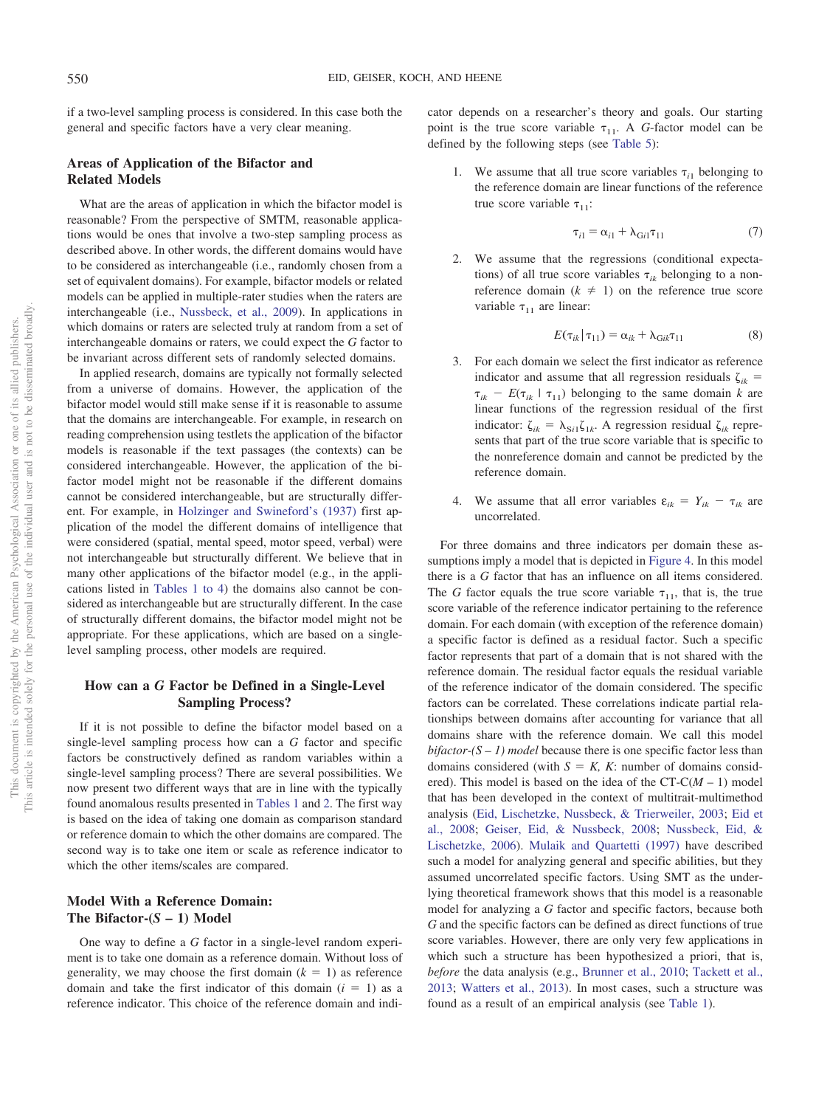if a two-level sampling process is considered. In this case both the general and specific factors have a very clear meaning.

# **Areas of Application of the Bifactor and Related Models**

What are the areas of application in which the bifactor model is reasonable? From the perspective of SMTM, reasonable applications would be ones that involve a two-step sampling process as described above. In other words, the different domains would have to be considered as interchangeable (i.e., randomly chosen from a set of equivalent domains). For example, bifactor models or related models can be applied in multiple-rater studies when the raters are interchangeable (i.e., [Nussbeck, et al., 2009\)](#page-18-26). In applications in which domains or raters are selected truly at random from a set of interchangeable domains or raters, we could expect the *G* factor to be invariant across different sets of randomly selected domains.

In applied research, domains are typically not formally selected from a universe of domains. However, the application of the bifactor model would still make sense if it is reasonable to assume that the domains are interchangeable. For example, in research on reading comprehension using testlets the application of the bifactor models is reasonable if the text passages (the contexts) can be considered interchangeable. However, the application of the bifactor model might not be reasonable if the different domains cannot be considered interchangeable, but are structurally different. For example, in [Holzinger and Swineford's \(1937\)](#page-17-1) first application of the model the different domains of intelligence that were considered (spatial, mental speed, motor speed, verbal) were not interchangeable but structurally different. We believe that in many other applications of the bifactor model (e.g., in the applications listed in Tables 1 to 4) the domains also cannot be considered as interchangeable but are structurally different. In the case of structurally different domains, the bifactor model might not be appropriate. For these applications, which are based on a singlelevel sampling process, other models are required.

# **How can a** *G* **Factor be Defined in a Single-Level Sampling Process?**

If it is not possible to define the bifactor model based on a single-level sampling process how can a *G* factor and specific factors be constructively defined as random variables within a single-level sampling process? There are several possibilities. We now present two different ways that are in line with the typically found anomalous results presented in [Tables 1](#page-3-0) and [2.](#page-3-1) The first way is based on the idea of taking one domain as comparison standard or reference domain to which the other domains are compared. The second way is to take one item or scale as reference indicator to which the other items/scales are compared.

# **Model With a Reference Domain: The Bifactor-(***S* **– 1) Model**

One way to define a *G* factor in a single-level random experiment is to take one domain as a reference domain. Without loss of generality, we may choose the first domain  $(k = 1)$  as reference domain and take the first indicator of this domain  $(i = 1)$  as a reference indicator. This choice of the reference domain and indicator depends on a researcher's theory and goals. Our starting point is the true score variable  $\tau_{11}$ . A *G*-factor model can be defined by the following steps (see [Table 5\)](#page-10-0):

1. We assume that all true score variables  $\tau_{i1}$  belonging to the reference domain are linear functions of the reference true score variable  $\tau_{11}$ :

$$
\tau_{i1} = \alpha_{i1} + \lambda_{Gi1} \tau_{11} \tag{7}
$$

2. We assume that the regressions (conditional expectations) of all true score variables  $\tau_{ik}$  belonging to a nonreference domain  $(k \neq 1)$  on the reference true score variable  $\tau_{11}$  are linear:

$$
E(\tau_{ik}|\tau_{11}) = \alpha_{ik} + \lambda_{\text{Gik}}\tau_{11}
$$
 (8)

- 3. For each domain we select the first indicator as reference indicator and assume that all regression residuals  $\zeta_{ik}$  =  $\tau_{ik}$  –  $E(\tau_{ik} | \tau_{11})$  belonging to the same domain *k* are linear functions of the regression residual of the first indicator:  $\zeta_{ik} = \lambda_{Si1} \zeta_{1k}$ . A regression residual  $\zeta_{ik}$  represents that part of the true score variable that is specific to the nonreference domain and cannot be predicted by the reference domain.
- 4. We assume that all error variables  $\varepsilon_{ik} = Y_{ik} \tau_{ik}$  are uncorrelated.

For three domains and three indicators per domain these assumptions imply a model that is depicted in [Figure 4.](#page-11-0) In this model there is a *G* factor that has an influence on all items considered. The *G* factor equals the true score variable  $\tau_{11}$ , that is, the true score variable of the reference indicator pertaining to the reference domain. For each domain (with exception of the reference domain) a specific factor is defined as a residual factor. Such a specific factor represents that part of a domain that is not shared with the reference domain. The residual factor equals the residual variable of the reference indicator of the domain considered. The specific factors can be correlated. These correlations indicate partial relationships between domains after accounting for variance that all domains share with the reference domain. We call this model *bifactor-(S – 1) model* because there is one specific factor less than domains considered (with  $S = K$ , K: number of domains considered). This model is based on the idea of the CT-C(*M* – 1) model that has been developed in the context of multitrait-multimethod analysis [\(Eid, Lischetzke, Nussbeck, & Trierweiler, 2003;](#page-16-30) [Eid et](#page-16-31) [al., 2008;](#page-16-31) [Geiser, Eid, & Nussbeck, 2008;](#page-17-30) [Nussbeck, Eid, &](#page-18-27) [Lischetzke, 2006\)](#page-18-27). [Mulaik and Quartetti \(1997\)](#page-17-3) have described such a model for analyzing general and specific abilities, but they assumed uncorrelated specific factors. Using SMT as the underlying theoretical framework shows that this model is a reasonable model for analyzing a *G* factor and specific factors, because both *G* and the specific factors can be defined as direct functions of true score variables. However, there are only very few applications in which such a structure has been hypothesized a priori, that is, *before* the data analysis (e.g., [Brunner et al., 2010;](#page-16-32) [Tackett et al.,](#page-18-17) [2013;](#page-18-17) [Watters et al., 2013\)](#page-18-9). In most cases, such a structure was found as a result of an empirical analysis (see [Table 1\)](#page-3-0).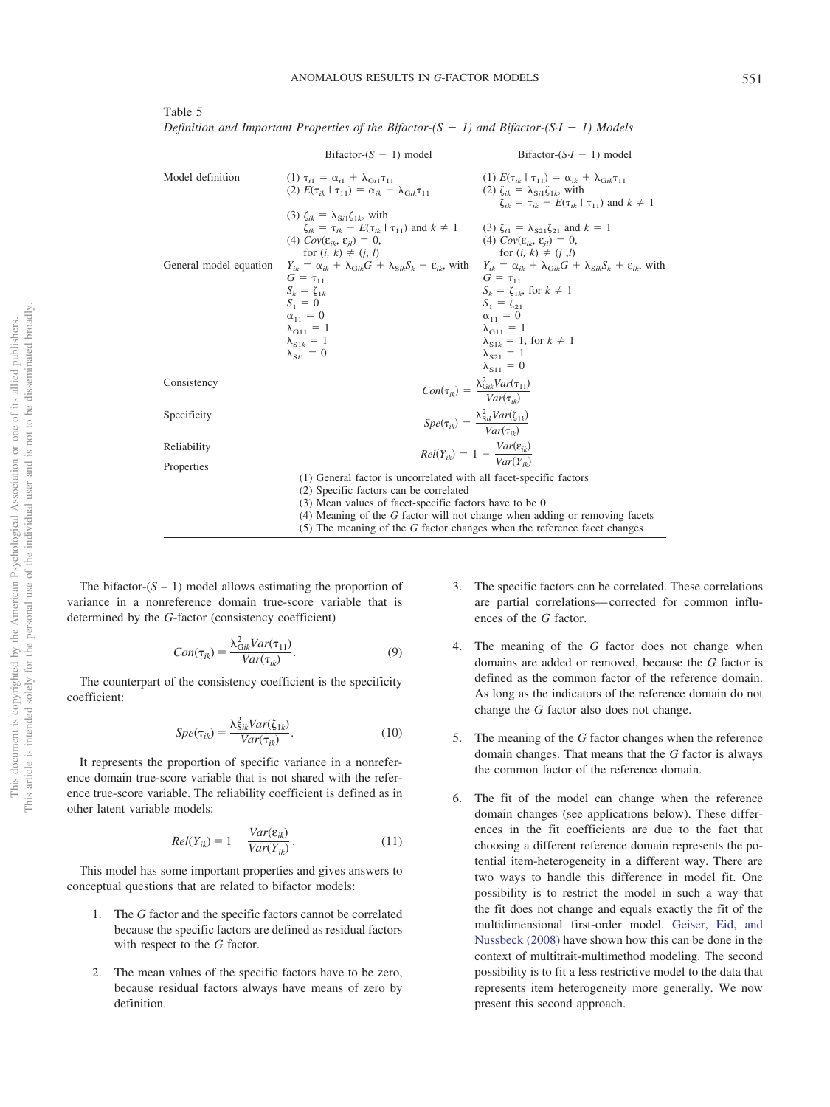|                        | Bifactor- $(S - 1)$ model                                                                                                                                                                                                                      | Bifactor- $(S-I - 1)$ model                                                                                                                                                                                                  |
|------------------------|------------------------------------------------------------------------------------------------------------------------------------------------------------------------------------------------------------------------------------------------|------------------------------------------------------------------------------------------------------------------------------------------------------------------------------------------------------------------------------|
| Model definition       | (1) $\tau_{i1} = \alpha_{i1} + \lambda_{\text{Gil}} \tau_{11}$<br>(2) $E(\tau_{ik}   \tau_{11}) = \alpha_{ik} + \lambda_{Gi} \tau_{11}$                                                                                                        | (1) $E(\tau_{ik}   \tau_{11}) = \alpha_{ik} + \lambda_{Gik} \tau_{11}$<br>(2) $\zeta_{ik} = \lambda_{\text{Sil}} \zeta_{1k}$ , with<br>$\zeta_{ik} = \tau_{ik} - E(\tau_{ik}   \tau_{11})$ and $k \neq 1$                    |
|                        | (3) $\zeta_{ik} = \lambda_{\text{Sil}} \zeta_{1k}$ , with<br>$\zeta_{ik} = \tau_{ik} - E(\tau_{ik}   \tau_{11})$ and $k \neq 1$ (3) $\zeta_{i1} = \lambda_{S21} \zeta_{21}$ and $k = 1$<br>(4) $Cov(\varepsilon_{ik}, \varepsilon_{il}) = 0$ , | (4) $Cov(\varepsilon_{ik}, \varepsilon_{il}) = 0$ ,                                                                                                                                                                          |
| General model equation | for $(i, k) \neq (i, l)$<br>$G = \tau_{11}$                                                                                                                                                                                                    | for $(i, k) \neq (i, l)$<br>$Y_{ik} = \alpha_{ik} + \lambda_{Gik} G + \lambda_{Sik} S_k + \varepsilon_{ik}$ , with $Y_{ik} = \alpha_{ik} + \lambda_{Gik} G + \lambda_{Sik} S_k + \varepsilon_{ik}$ , with<br>$G = \tau_{11}$ |
|                        | $S_k = \zeta_{1k}$<br>$S_1 = 0$                                                                                                                                                                                                                | $S_k = \zeta_{1k}$ , for $k \neq 1$<br>$S_1 = \zeta_{21}$                                                                                                                                                                    |
|                        | $\alpha_{11} = 0$<br>$\lambda_{G11} = 1$<br>$\lambda_{S1k} = 1$                                                                                                                                                                                | $\alpha_{11} = 0$<br>$\lambda_{\text{G11}} = 1$<br>$\lambda_{S1k} = 1$ , for $k \neq 1$                                                                                                                                      |
|                        | $\lambda_{Si1} = 0$                                                                                                                                                                                                                            | $\lambda_{S21} = 1$<br>$\lambda_{s11} = 0$                                                                                                                                                                                   |
| Consistency            |                                                                                                                                                                                                                                                | $Con(\tau_{ik}) = \frac{\lambda_{Gik}^2Var(\tau_{11})}{Var(\tau_{ik})}$                                                                                                                                                      |
| Specificity            |                                                                                                                                                                                                                                                | $Spe(\tau_{ik}) = \frac{\lambda_{Sik}^2 Var(\zeta_{1k})}{Var(\tau_{ik})}$                                                                                                                                                    |
| Reliability            |                                                                                                                                                                                                                                                | $Rel(Y_{ik}) = 1 - \frac{Var(\varepsilon_{ik})}{Var(Y_{.})}$                                                                                                                                                                 |
| Properties             |                                                                                                                                                                                                                                                |                                                                                                                                                                                                                              |
|                        | (1) General factor is uncorrelated with all facet-specific factors<br>(2) Specific factors can be correlated                                                                                                                                   |                                                                                                                                                                                                                              |
|                        | (3) Mean values of facet-specific factors have to be 0                                                                                                                                                                                         |                                                                                                                                                                                                                              |
|                        | $(5)$ The meaning of the G factor changes when the reference facet changes                                                                                                                                                                     | $(4)$ Meaning of the G factor will not change when adding or removing facets                                                                                                                                                 |

<span id="page-10-0"></span>Table 5 Definition and Important Properties of the Bifactor- $(S - 1)$  and Bifactor- $(S-I - 1)$  Models

The bifactor- $(S - 1)$  model allows estimating the proportion of variance in a nonreference domain true-score variable that is determined by the *G*-factor (consistency coefficient)

$$
Con(\tau_{ik}) = \frac{\lambda_{Gik}^2 Var(\tau_{11})}{Var(\tau_{ik})}.
$$
\n(9)

The counterpart of the consistency coefficient is the specificity coefficient:

$$
Spe(\tau_{ik}) = \frac{\lambda_{\text{Si}k}^2 Var(\zeta_{1k})}{Var(\tau_{ik})}.
$$
\n(10)

It represents the proportion of specific variance in a nonreference domain true-score variable that is not shared with the reference true-score variable. The reliability coefficient is defined as in other latent variable models:

$$
Rel(Y_{ik}) = 1 - \frac{Var(\varepsilon_{ik})}{Var(Y_{ik})}.
$$
\n(11)

This model has some important properties and gives answers to conceptual questions that are related to bifactor models:

- 1. The *G* factor and the specific factors cannot be correlated because the specific factors are defined as residual factors with respect to the *G* factor.
- 2. The mean values of the specific factors have to be zero, because residual factors always have means of zero by definition.
- 3. The specific factors can be correlated. These correlations are partial correlations— corrected for common influences of the *G* factor.
- 4. The meaning of the *G* factor does not change when domains are added or removed, because the *G* factor is defined as the common factor of the reference domain. As long as the indicators of the reference domain do not change the *G* factor also does not change.
- 5. The meaning of the *G* factor changes when the reference domain changes. That means that the *G* factor is always the common factor of the reference domain.
- 6. The fit of the model can change when the reference domain changes (see applications below). These differences in the fit coefficients are due to the fact that choosing a different reference domain represents the potential item-heterogeneity in a different way. There are two ways to handle this difference in model fit. One possibility is to restrict the model in such a way that the fit does not change and equals exactly the fit of the multidimensional first-order model. [Geiser, Eid, and](#page-17-30) [Nussbeck \(2008\)](#page-17-30) have shown how this can be done in the context of multitrait-multimethod modeling. The second possibility is to fit a less restrictive model to the data that represents item heterogeneity more generally. We now present this second approach.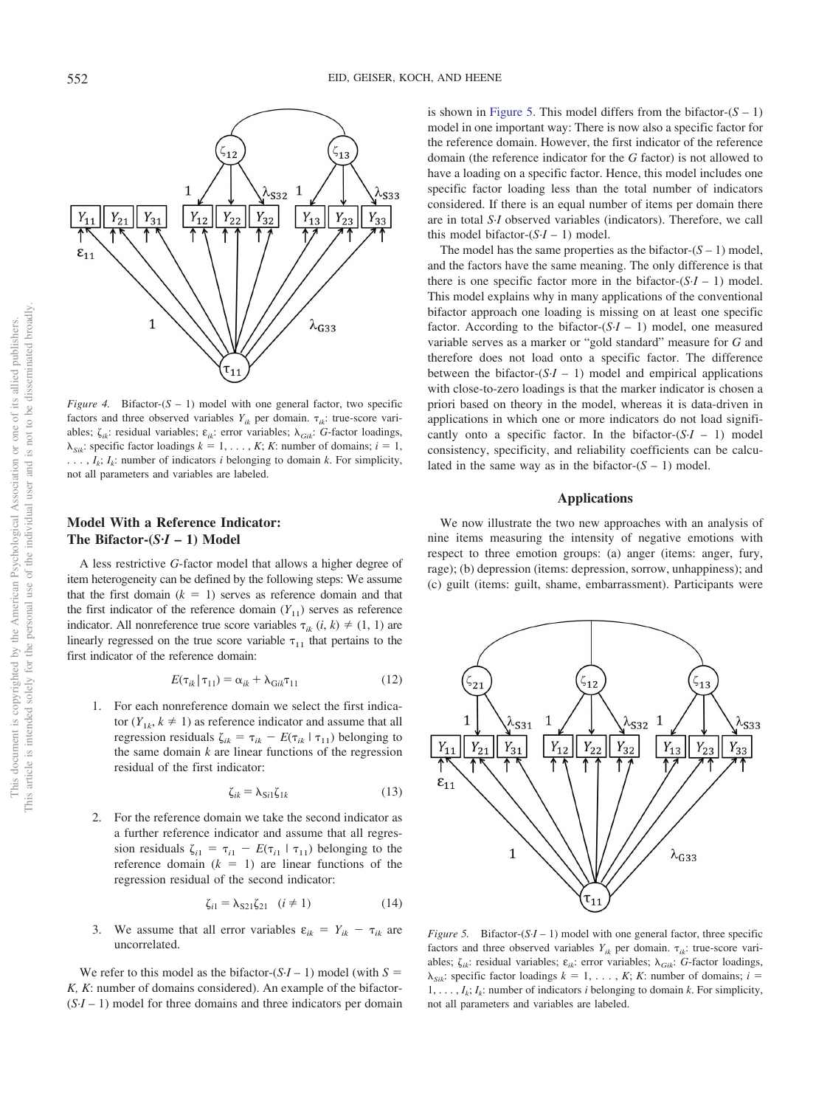

<span id="page-11-0"></span>*Figure 4.* Bifactor- $(S - 1)$  model with one general factor, two specific factors and three observed variables  $Y_{ik}$  per domain.  $\tau_{ik}$ : true-score variables;  $\zeta_{ik}$ : residual variables;  $\varepsilon_{ik}$ : error variables;  $\lambda_{Gik}$ : *G*-factor loadings,  $\lambda_{Sik}$ : specific factor loadings  $k = 1, \ldots, K$ ; *K*: number of domains;  $i = 1$ ,  $\ldots$ , *I<sub>k</sub>*; *I<sub>k</sub>*: number of indicators *i* belonging to domain *k*. For simplicity, not all parameters and variables are labeled.

# **Model With a Reference Indicator: The Bifactor-(***S·I* **– 1) Model**

A less restrictive *G*-factor model that allows a higher degree of item heterogeneity can be defined by the following steps: We assume that the first domain  $(k = 1)$  serves as reference domain and that the first indicator of the reference domain  $(Y_{11})$  serves as reference indicator. All nonreference true score variables  $\tau_{ik}$  (*i*, *k*)  $\neq$  (1, 1) are linearly regressed on the true score variable  $\tau_{11}$  that pertains to the first indicator of the reference domain:

$$
E(\tau_{ik}|\tau_{11}) = \alpha_{ik} + \lambda_{\text{Gik}}\tau_{11} \tag{12}
$$

1. For each nonreference domain we select the first indicator  $(Y_{1k}, k \neq 1)$  as reference indicator and assume that all regression residuals  $\zeta_{ik} = \tau_{ik} - E(\tau_{ik} | \tau_{11})$  belonging to the same domain  $k$  are linear functions of the regression residual of the first indicator:

$$
\zeta_{ik} = \lambda_{Si1} \zeta_{1k} \tag{13}
$$

2. For the reference domain we take the second indicator as a further reference indicator and assume that all regression residuals  $\zeta_{i1} = \tau_{i1} - E(\tau_{i1} | \tau_{11})$  belonging to the reference domain  $(k = 1)$  are linear functions of the regression residual of the second indicator:

$$
\zeta_{i1} = \lambda_{S21}\zeta_{21} \quad (i \neq 1)
$$
 (14)

3. We assume that all error variables  $\varepsilon_{ik} = Y_{ik} - \tau_{ik}$  are uncorrelated.

We refer to this model as the bifactor- $(S-I - 1)$  model (with  $S =$ *K, K*: number of domains considered). An example of the bifactor-  $(S-I - 1)$  model for three domains and three indicators per domain is shown in [Figure 5.](#page-11-1) This model differs from the bifactor- $(S - 1)$ model in one important way: There is now also a specific factor for the reference domain. However, the first indicator of the reference domain (the reference indicator for the *G* factor) is not allowed to have a loading on a specific factor. Hence, this model includes one specific factor loading less than the total number of indicators considered. If there is an equal number of items per domain there are in total *S·I* observed variables (indicators). Therefore, we call this model bifactor- $(S-I - 1)$  model.

The model has the same properties as the bifactor- $(S - 1)$  model, and the factors have the same meaning. The only difference is that there is one specific factor more in the bifactor- $(S-I - 1)$  model. This model explains why in many applications of the conventional bifactor approach one loading is missing on at least one specific factor. According to the bifactor- $(S-I - 1)$  model, one measured variable serves as a marker or "gold standard" measure for *G* and therefore does not load onto a specific factor. The difference between the bifactor- $(S-I - 1)$  model and empirical applications with close-to-zero loadings is that the marker indicator is chosen a priori based on theory in the model, whereas it is data-driven in applications in which one or more indicators do not load significantly onto a specific factor. In the bifactor- $(S-I - 1)$  model consistency, specificity, and reliability coefficients can be calculated in the same way as in the bifactor- $(S - 1)$  model.

# **Applications**

We now illustrate the two new approaches with an analysis of nine items measuring the intensity of negative emotions with respect to three emotion groups: (a) anger (items: anger, fury, rage); (b) depression (items: depression, sorrow, unhappiness); and (c) guilt (items: guilt, shame, embarrassment). Participants were



<span id="page-11-1"></span>*Figure 5.* Bifactor- $(S-I - 1)$  model with one general factor, three specific factors and three observed variables  $Y_{ik}$  per domain.  $\tau_{ik}$ : true-score variables;  $\zeta_{ik}$ : residual variables;  $\varepsilon_{ik}$ : error variables;  $\lambda_{Gik}$ : *G*-factor loadings,  $\lambda_{\text{Sik}}$ : specific factor loadings  $k = 1, \ldots, K$ ; *K*: number of domains; *i* =  $1, \ldots, I_k; I_k$ : number of indicators *i* belonging to domain *k*. For simplicity, not all parameters and variables are labeled.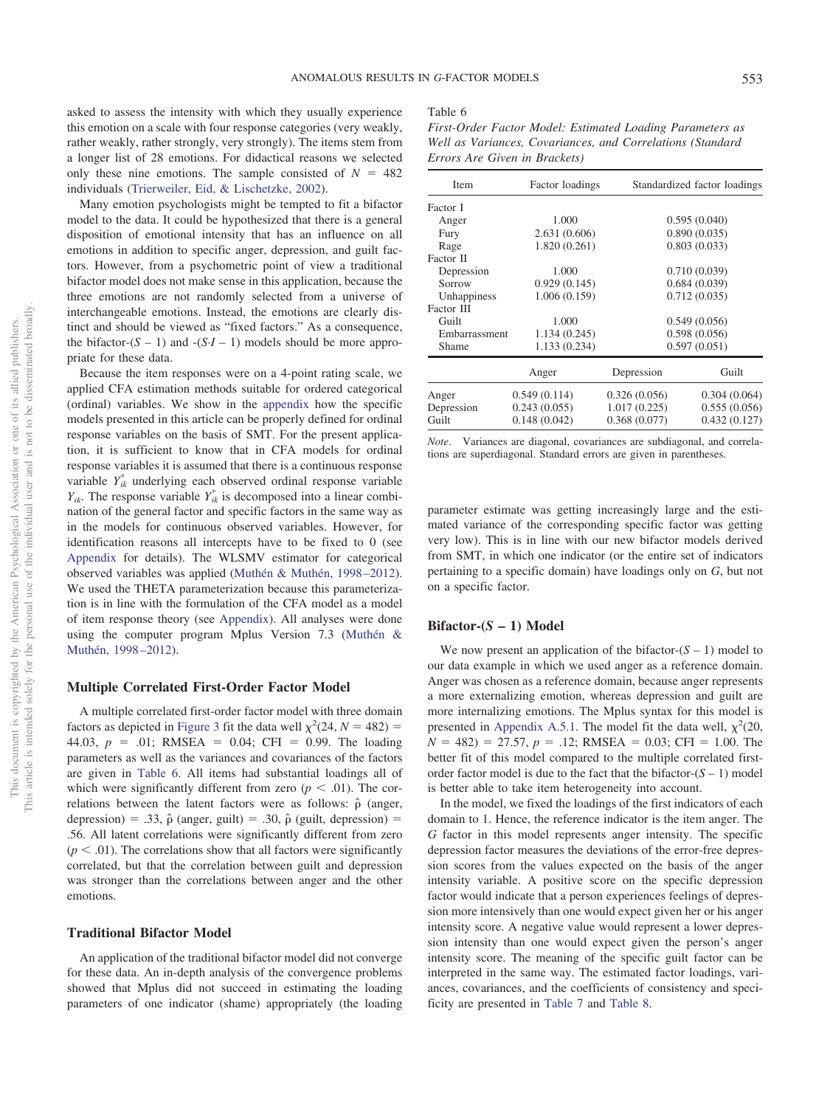asked to assess the intensity with which they usually experience this emotion on a scale with four response categories (very weakly, rather weakly, rather strongly, very strongly). The items stem from a longer list of 28 emotions. For didactical reasons we selected only these nine emotions. The sample consisted of  $N = 482$ individuals [\(Trierweiler, Eid, & Lischetzke, 2002\)](#page-18-28).

Many emotion psychologists might be tempted to fit a bifactor model to the data. It could be hypothesized that there is a general disposition of emotional intensity that has an influence on all emotions in addition to specific anger, depression, and guilt factors. However, from a psychometric point of view a traditional bifactor model does not make sense in this application, because the three emotions are not randomly selected from a universe of interchangeable emotions. Instead, the emotions are clearly distinct and should be viewed as "fixed factors." As a consequence, the bifactor- $(S - 1)$  and  $-(S-I - 1)$  models should be more appropriate for these data.

Because the item responses were on a 4-point rating scale, we applied CFA estimation methods suitable for ordered categorical (ordinal) variables. We show in the [appendix](#page-19-9) how the specific models presented in this article can be properly defined for ordinal response variables on the basis of SMT. For the present application, it is sufficient to know that in CFA models for ordinal response variables it is assumed that there is a continuous response variable  $Y_{ik}^*$  underlying each observed ordinal response variable  $Y_{ik}$ . The response variable  $Y_{ik}^*$  is decomposed into a linear combination of the general factor and specific factors in the same way as in the models for continuous observed variables. However, for identification reasons all intercepts have to be fixed to 0 (see [Appendix](#page-19-9) for details). The WLSMV estimator for categorical observed variables was applied [\(Muthén & Muthén, 1998 –2012\)](#page-18-29). We used the THETA parameterization because this parameterization is in line with the formulation of the CFA model as a model of item response theory (see [Appendix\)](#page-19-9). All analyses were done using the computer program Mplus Version 7.3 [\(Muthén &](#page-18-29) [Muthén, 1998 –2012\)](#page-18-29).

# **Multiple Correlated First-Order Factor Model**

A multiple correlated first-order factor model with three domain factors as depicted in [Figure 3](#page-2-2) fit the data well  $\chi^2$  (24, *N* = 482) = 44.03,  $p = .01$ ; RMSEA = 0.04; CFI = 0.99. The loading parameters as well as the variances and covariances of the factors are given in [Table 6.](#page-12-0) All items had substantial loadings all of which were significantly different from zero  $(p < .01)$ . The correlations between the latent factors were as follows:  $\hat{\rho}$  (anger, depression) = .33,  $\hat{\rho}$  (anger, guilt) = .30,  $\hat{\rho}$  (guilt, depression) = .56. All latent correlations were significantly different from zero  $(p < .01)$ . The correlations show that all factors were significantly correlated, but that the correlation between guilt and depression was stronger than the correlations between anger and the other emotions.

#### **Traditional Bifactor Model**

An application of the traditional bifactor model did not converge for these data. An in-depth analysis of the convergence problems showed that Mplus did not succeed in estimating the loading parameters of one indicator (shame) appropriately (the loading

#### <span id="page-12-0"></span>Table 6

*First-Order Factor Model: Estimated Loading Parameters as Well as Variances, Covariances, and Correlations (Standard Errors Are Given in Brackets)*

| Item          | Factor loadings |              | Standardized factor loadings |
|---------------|-----------------|--------------|------------------------------|
| Factor I      |                 |              |                              |
| Anger         | 1.000           |              | 0.595(0.040)                 |
| Fury          | 2.631(0.606)    |              | 0.890(0.035)                 |
| Rage          | 1.820(0.261)    |              | 0.803(0.033)                 |
| Factor II     |                 |              |                              |
| Depression    | 1.000           |              | 0.710(0.039)                 |
| Sorrow        | 0.929(0.145)    | 0.684(0.039) |                              |
| Unhappiness   | 1.006 (0.159)   | 0.712(0.035) |                              |
| Factor III    |                 |              |                              |
| Guilt         | 1.000           |              | 0.549(0.056)                 |
| Embarrassment | 1.134 (0.245)   |              | 0.598(0.056)                 |
| Shame         | 1.133(0.234)    |              | 0.597(0.051)                 |
|               | Anger           | Depression   | Guilt                        |
| Anger         | 0.549(0.114)    | 0.326(0.056) | 0.304(0.064)                 |
| Depression    | 0.243(0.055)    | 1.017(0.225) | 0.555(0.056)                 |
| Guilt         | 0.148(0.042)    | 0.368(0.077) | 0.432(0.127)                 |

*Note*. Variances are diagonal, covariances are subdiagonal, and correlations are superdiagonal. Standard errors are given in parentheses.

parameter estimate was getting increasingly large and the estimated variance of the corresponding specific factor was getting very low). This is in line with our new bifactor models derived from SMT, in which one indicator (or the entire set of indicators pertaining to a specific domain) have loadings only on *G*, but not on a specific factor.

#### **Bifactor-(***S* **– 1) Model**

We now present an application of the bifactor- $(S - 1)$  model to our data example in which we used anger as a reference domain. Anger was chosen as a reference domain, because anger represents a more externalizing emotion, whereas depression and guilt are more internalizing emotions. The Mplus syntax for this model is presented in [Appendix A.5.1.](#page-19-9) The model fit the data well,  $\chi^2(20,$  $N = 482$ ) = 27.57,  $p = .12$ ; RMSEA = 0.03; CFI = 1.00. The better fit of this model compared to the multiple correlated firstorder factor model is due to the fact that the bifactor- $(S - 1)$  model is better able to take item heterogeneity into account.

In the model, we fixed the loadings of the first indicators of each domain to 1. Hence, the reference indicator is the item anger. The *G* factor in this model represents anger intensity. The specific depression factor measures the deviations of the error-free depression scores from the values expected on the basis of the anger intensity variable. A positive score on the specific depression factor would indicate that a person experiences feelings of depression more intensively than one would expect given her or his anger intensity score. A negative value would represent a lower depression intensity than one would expect given the person's anger intensity score. The meaning of the specific guilt factor can be interpreted in the same way. The estimated factor loadings, variances, covariances, and the coefficients of consistency and specificity are presented in [Table 7](#page-13-0) and [Table 8.](#page-13-1)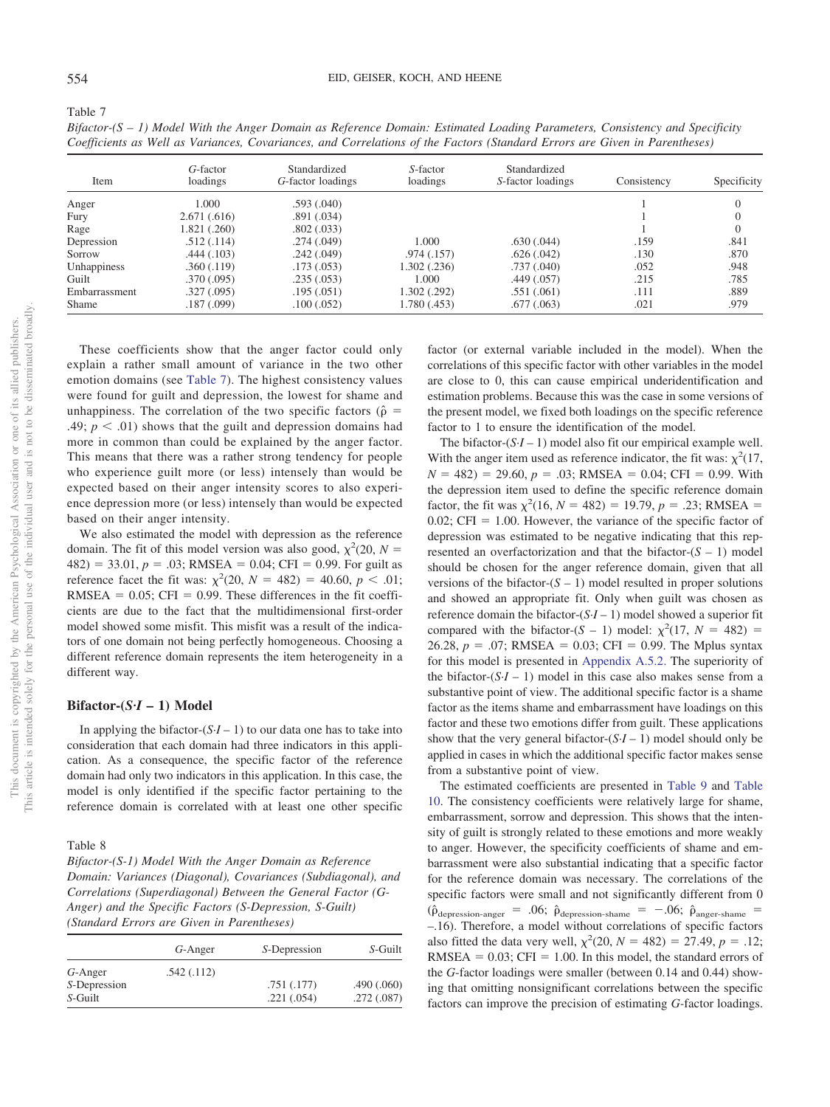<span id="page-13-0"></span>Table 7

| Item          | G-factor<br>loadings | Standardized<br>G-factor loadings | S-factor<br>loadings | Standardized<br>S-factor loadings | Consistency | Specificity    |
|---------------|----------------------|-----------------------------------|----------------------|-----------------------------------|-------------|----------------|
| Anger         | 1.000                | .593 (.040)                       |                      |                                   |             | 0              |
| Fury          | 2.671(.616)          | .891(.034)                        |                      |                                   |             | 0              |
| Rage          | 1.821 (.260)         | .802(.033)                        |                      |                                   |             | $\overline{0}$ |
| Depression    | .512(.114)           | .274(.049)                        | 1.000                | .630(.044)                        | .159        | .841           |
| Sorrow        | .444(.103)           | .242(.049)                        | .974(0.157)          | .626(.042)                        | .130        | .870           |
| Unhappiness   | .360(.119)           | .173(.053)                        | 1.302 (.236)         | .737(.040)                        | .052        | .948           |
| Guilt         | .370(.095)           | .235(.053)                        | 1.000                | .449(.057)                        | .215        | .785           |
| Embarrassment | .327(.095)           | .195 (.051)                       | 1.302 (.292)         | .551(.061)                        | .111        | .889           |
| Shame         | .187 (.099)          | .100(.052)                        | 1.780 (.453)         | .677(0.063)                       | .021        | .979           |

*Bifactor-(S – 1) Model With the Anger Domain as Reference Domain: Estimated Loading Parameters, Consistency and Specificity Coefficients as Well as Variances, Covariances, and Correlations of the Factors (Standard Errors are Given in Parentheses)*

These coefficients show that the anger factor could only explain a rather small amount of variance in the two other emotion domains (see [Table 7\)](#page-13-0). The highest consistency values were found for guilt and depression, the lowest for shame and unhappiness. The correlation of the two specific factors ( $\hat{\rho}$  = .49;  $p < .01$ ) shows that the guilt and depression domains had more in common than could be explained by the anger factor. This means that there was a rather strong tendency for people who experience guilt more (or less) intensely than would be expected based on their anger intensity scores to also experience depression more (or less) intensely than would be expected based on their anger intensity.

We also estimated the model with depression as the reference domain. The fit of this model version was also good,  $\chi^2(20, N =$  $482$ ) = 33.01,  $p = .03$ ; RMSEA = 0.04; CFI = 0.99. For guilt as reference facet the fit was:  $\chi^2(20, N = 482) = 40.60, p < .01;$ RMSEA  $= 0.05$ ; CFI  $= 0.99$ . These differences in the fit coefficients are due to the fact that the multidimensional first-order model showed some misfit. This misfit was a result of the indicators of one domain not being perfectly homogeneous. Choosing a different reference domain represents the item heterogeneity in a different way.

### **Bifactor-(***S·I* **– 1) Model**

In applying the bifactor- $(S-I - 1)$  to our data one has to take into consideration that each domain had three indicators in this application. As a consequence, the specific factor of the reference domain had only two indicators in this application. In this case, the model is only identified if the specific factor pertaining to the reference domain is correlated with at least one other specific

### <span id="page-13-1"></span>Table 8

*Bifactor-(S-1) Model With the Anger Domain as Reference Domain: Variances (Diagonal), Covariances (Subdiagonal), and Correlations (Superdiagonal) Between the General Factor (G-Anger) and the Specific Factors (S-Depression, S-Guilt) (Standard Errors are Given in Parentheses)*

|                         | G-Anger    | S-Depression | S-Guilt    |
|-------------------------|------------|--------------|------------|
| G-Anger<br>S-Depression | .542(.112) | .751(.177)   | .490(.060) |
| S-Guilt                 |            | .221(.054)   | .272(.087) |

factor (or external variable included in the model). When the correlations of this specific factor with other variables in the model are close to 0, this can cause empirical underidentification and estimation problems. Because this was the case in some versions of the present model, we fixed both loadings on the specific reference factor to 1 to ensure the identification of the model.

The bifactor- $(S-I - 1)$  model also fit our empirical example well. With the anger item used as reference indicator, the fit was:  $\chi^2(17, 17)$  $N = 482$ ) = 29.60,  $p = .03$ ; RMSEA = 0.04; CFI = 0.99. With the depression item used to define the specific reference domain factor, the fit was  $\chi^2(16, N = 482) = 19.79, p = .23$ ; RMSEA = 0.02; CFI  $= 1.00$ . However, the variance of the specific factor of depression was estimated to be negative indicating that this represented an overfactorization and that the bifactor-(*S –* 1) model should be chosen for the anger reference domain, given that all versions of the bifactor- $(S - 1)$  model resulted in proper solutions and showed an appropriate fit. Only when guilt was chosen as reference domain the bifactor- $(S-I - 1)$  model showed a superior fit compared with the bifactor- $(S - 1)$  model:  $\chi^2(17, N = 482)$ 26.28,  $p = .07$ ; RMSEA = 0.03; CFI = 0.99. The Mplus syntax for this model is presented in [Appendix A.5.2.](#page-19-9) The superiority of the bifactor- $(S-I - 1)$  model in this case also makes sense from a substantive point of view. The additional specific factor is a shame factor as the items shame and embarrassment have loadings on this factor and these two emotions differ from guilt. These applications show that the very general bifactor- $(S-I - 1)$  model should only be applied in cases in which the additional specific factor makes sense from a substantive point of view.

The estimated coefficients are presented in [Table 9](#page-14-0) and [Table](#page-14-1) [10.](#page-14-1) The consistency coefficients were relatively large for shame, embarrassment, sorrow and depression. This shows that the intensity of guilt is strongly related to these emotions and more weakly to anger. However, the specificity coefficients of shame and embarrassment were also substantial indicating that a specific factor for the reference domain was necessary. The correlations of the specific factors were small and not significantly different from 0  $(\hat{\rho}_{\text{depression-anger}} = .06; \ \hat{\rho}_{\text{depression-shame}} = -.06; \ \hat{\rho}_{\text{anger-shame}} =$ –.16). Therefore, a model without correlations of specific factors also fitted the data very well,  $\chi^2(20, N = 482) = 27.49, p = .12;$ RMSEA  $= 0.03$ ; CFI  $= 1.00$ . In this model, the standard errors of the *G*-factor loadings were smaller (between 0.14 and 0.44) showing that omitting nonsignificant correlations between the specific factors can improve the precision of estimating *G-*factor loadings.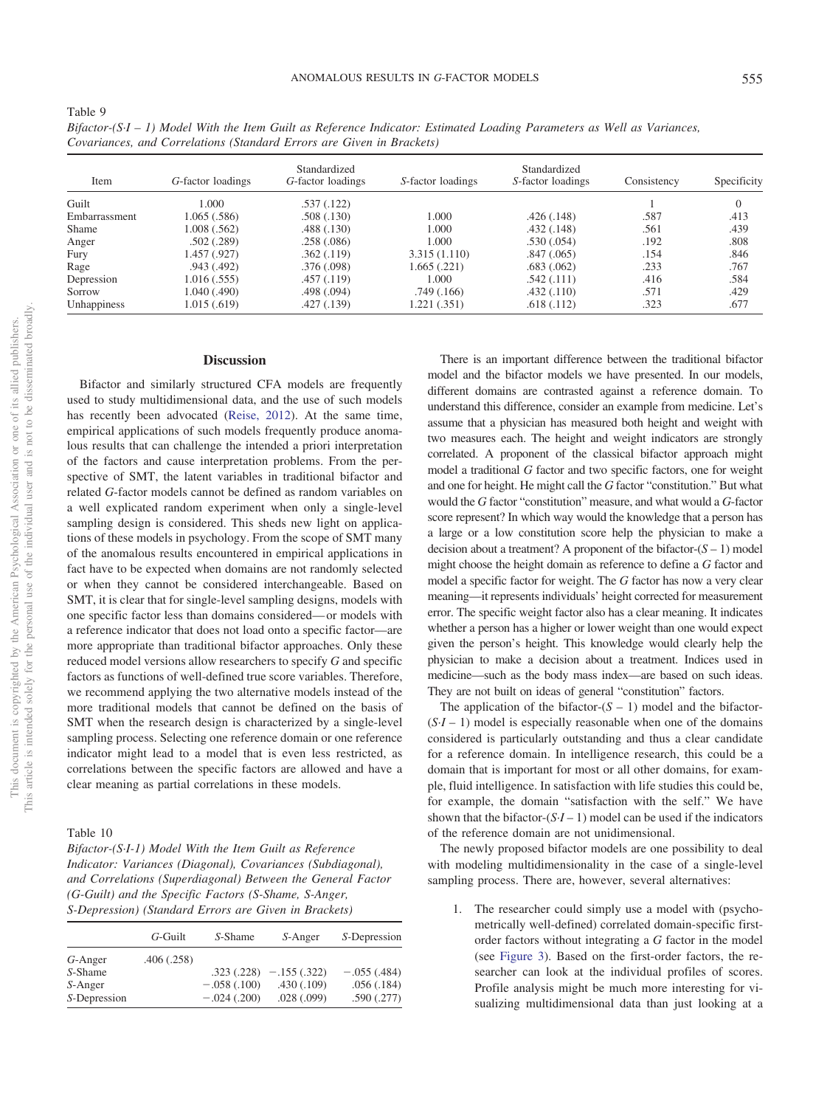| ×            | ×                | ×                           |
|--------------|------------------|-----------------------------|
| ۰,<br>×<br>٠ | I<br>I<br>×<br>v | <b>SALE</b><br>I<br>×<br>۰. |

| Item          | G-factor loadings | Standardized<br>G-factor loadings | S-factor loadings | Standardized<br>S-factor loadings | Consistency | Specificity |
|---------------|-------------------|-----------------------------------|-------------------|-----------------------------------|-------------|-------------|
| Guilt         | 1.000             | .537(.122)                        |                   |                                   |             | $\Omega$    |
| Embarrassment | 1.065(.586)       | .508 (.130)                       | 1.000             | .426(.148)                        | .587        | .413        |
| Shame         | 1.008(.562)       | .488(.130)                        | 1.000             | .432(.148)                        | .561        | .439        |
| Anger         | .502(.289)        | .258(.086)                        | 1.000             | .530(.054)                        | .192        | .808        |
| Fury          | 1.457(0.927)      | .362(.119)                        | 3.315(1.110)      | $.847 \,(.065)$                   | .154        | .846        |
| Rage          | .943 (.492)       | .376 (.098)                       | 1.665(.221)       | .683(.062)                        | .233        | .767        |
| Depression    | 1.016(.555)       | .457(.119)                        | 1.000             | .542(.111)                        | .416        | .584        |
| Sorrow        | 1.040(0.490)      | .498 (.094)                       | .749(.166)        | .432(.110)                        | .571        | .429        |
| Unhappiness   | 1.015(.619)       | .427 (.139)                       | 1.221 (.351)      | .618(.112)                        | .323        | .677        |

*Bifactor-(S·I – 1) Model With the Item Guilt as Reference Indicator: Estimated Loading Parameters as Well as Variances, Covariances, and Correlations (Standard Errors are Given in Brackets)*

#### **Discussion**

Bifactor and similarly structured CFA models are frequently used to study multidimensional data, and the use of such models has recently been advocated [\(Reise, 2012\)](#page-18-1). At the same time, empirical applications of such models frequently produce anomalous results that can challenge the intended a priori interpretation of the factors and cause interpretation problems. From the perspective of SMT, the latent variables in traditional bifactor and related *G*-factor models cannot be defined as random variables on a well explicated random experiment when only a single-level sampling design is considered. This sheds new light on applications of these models in psychology. From the scope of SMT many of the anomalous results encountered in empirical applications in fact have to be expected when domains are not randomly selected or when they cannot be considered interchangeable. Based on SMT, it is clear that for single-level sampling designs, models with one specific factor less than domains considered— or models with a reference indicator that does not load onto a specific factor—are more appropriate than traditional bifactor approaches. Only these reduced model versions allow researchers to specify *G* and specific factors as functions of well-defined true score variables. Therefore, we recommend applying the two alternative models instead of the more traditional models that cannot be defined on the basis of SMT when the research design is characterized by a single-level sampling process. Selecting one reference domain or one reference indicator might lead to a model that is even less restricted, as correlations between the specific factors are allowed and have a clear meaning as partial correlations in these models.

# <span id="page-14-1"></span>Table 10

<span id="page-14-0"></span>Table 9

*Bifactor-(S·I-1) Model With the Item Guilt as Reference Indicator: Variances (Diagonal), Covariances (Subdiagonal), and Correlations (Superdiagonal) Between the General Factor (G-Guilt) and the Specific Factors (S-Shame, S-Anger, S-Depression) (Standard Errors are Given in Brackets)*

|              | G-Guilt    | S-Shame       | S-Anger       | S-Depression  |
|--------------|------------|---------------|---------------|---------------|
| G-Anger      | .406(.258) |               |               |               |
| S-Shame      |            | .323(.228)    | $-.155(.322)$ | $-.055(.484)$ |
| S-Anger      |            | $-.058(.100)$ | .430(.109)    | .056(.184)    |
| S-Depression |            | $-.024(.200)$ | .028(.099)    | .590(.277)    |

There is an important difference between the traditional bifactor model and the bifactor models we have presented. In our models, different domains are contrasted against a reference domain. To understand this difference, consider an example from medicine. Let's assume that a physician has measured both height and weight with two measures each. The height and weight indicators are strongly correlated. A proponent of the classical bifactor approach might model a traditional *G* factor and two specific factors, one for weight and one for height. He might call the *G* factor "constitution." But what would the *G* factor "constitution" measure, and what would a *G*-factor score represent? In which way would the knowledge that a person has a large or a low constitution score help the physician to make a decision about a treatment? A proponent of the bifactor- $(S - 1)$  model might choose the height domain as reference to define a *G* factor and model a specific factor for weight. The *G* factor has now a very clear meaning—it represents individuals' height corrected for measurement error. The specific weight factor also has a clear meaning. It indicates whether a person has a higher or lower weight than one would expect given the person's height. This knowledge would clearly help the physician to make a decision about a treatment. Indices used in medicine—such as the body mass index—are based on such ideas. They are not built on ideas of general "constitution" factors.

The application of the bifactor- $(S - 1)$  model and the bifactor- $(S-I - 1)$  model is especially reasonable when one of the domains considered is particularly outstanding and thus a clear candidate for a reference domain. In intelligence research, this could be a domain that is important for most or all other domains, for example, fluid intelligence. In satisfaction with life studies this could be, for example, the domain "satisfaction with the self." We have shown that the bifactor- $(S-I - 1)$  model can be used if the indicators of the reference domain are not unidimensional.

The newly proposed bifactor models are one possibility to deal with modeling multidimensionality in the case of a single-level sampling process. There are, however, several alternatives:

1. The researcher could simply use a model with (psychometrically well-defined) correlated domain-specific firstorder factors without integrating a *G* factor in the model (see [Figure 3\)](#page-2-2). Based on the first-order factors, the researcher can look at the individual profiles of scores. Profile analysis might be much more interesting for visualizing multidimensional data than just looking at a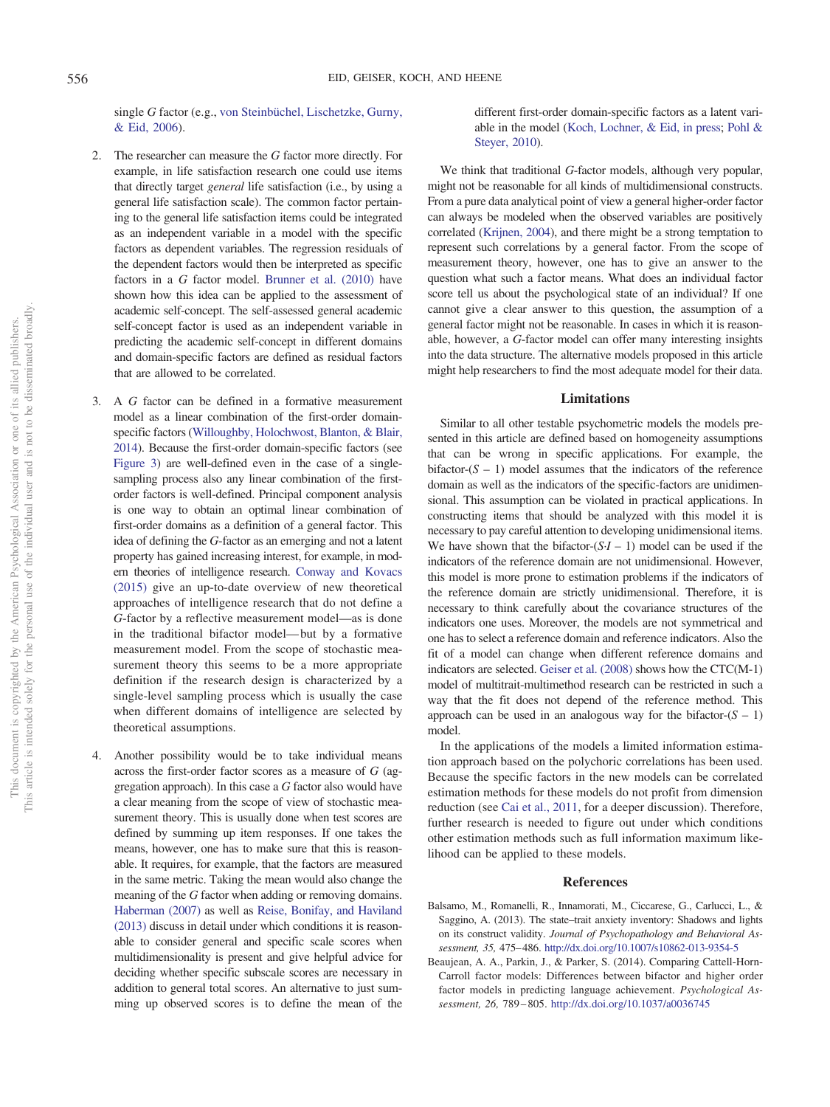single *G* factor (e.g., [von Steinbüchel, Lischetzke, Gurny,](#page-18-30) [& Eid, 2006\)](#page-18-30).

- 2. The researcher can measure the *G* factor more directly. For example, in life satisfaction research one could use items that directly target *general* life satisfaction (i.e., by using a general life satisfaction scale). The common factor pertaining to the general life satisfaction items could be integrated as an independent variable in a model with the specific factors as dependent variables. The regression residuals of the dependent factors would then be interpreted as specific factors in a *G* factor model. [Brunner et al. \(2010\)](#page-16-32) have shown how this idea can be applied to the assessment of academic self-concept. The self-assessed general academic self-concept factor is used as an independent variable in predicting the academic self-concept in different domains and domain-specific factors are defined as residual factors that are allowed to be correlated.
- 3. A *G* factor can be defined in a formative measurement model as a linear combination of the first-order domain-specific factors [\(Willoughby, Holochwost, Blanton, & Blair,](#page-19-10) [2014\)](#page-19-10). Because the first-order domain-specific factors (see [Figure 3\)](#page-2-2) are well-defined even in the case of a singlesampling process also any linear combination of the firstorder factors is well-defined. Principal component analysis is one way to obtain an optimal linear combination of first-order domains as a definition of a general factor. This idea of defining the *G*-factor as an emerging and not a latent property has gained increasing interest, for example, in modern theories of intelligence research. [Conway and](#page-16-33) Kovacs [\(2015\)](#page-16-33) give an up-to-date overview of new theoretical approaches of intelligence research that do not define a *G*-factor by a reflective measurement model—as is done in the traditional bifactor model— but by a formative measurement model. From the scope of stochastic measurement theory this seems to be a more appropriate definition if the research design is characterized by a single-level sampling process which is usually the case when different domains of intelligence are selected by theoretical assumptions.
- 4. Another possibility would be to take individual means across the first-order factor scores as a measure of *G* (aggregation approach). In this case a *G* factor also would have a clear meaning from the scope of view of stochastic measurement theory. This is usually done when test scores are defined by summing up item responses. If one takes the means, however, one has to make sure that this is reasonable. It requires, for example, that the factors are measured in the same metric. Taking the mean would also change the meaning of the *G* factor when adding or removing domains. [Haberman \(2007\)](#page-17-31) as well as [Reise, Bonifay, and Haviland](#page-18-31) [\(2013\)](#page-18-31) discuss in detail under which conditions it is reasonable to consider general and specific scale scores when multidimensionality is present and give helpful advice for deciding whether specific subscale scores are necessary in addition to general total scores. An alternative to just summing up observed scores is to define the mean of the

different first-order domain-specific factors as a latent variable in the model [\(Koch, Lochner, & Eid, in press;](#page-17-32) [Pohl &](#page-18-32) [Steyer, 2010\)](#page-18-32).

We think that traditional *G*-factor models, although very popular, might not be reasonable for all kinds of multidimensional constructs. From a pure data analytical point of view a general higher-order factor can always be modeled when the observed variables are positively correlated [\(Krijnen, 2004\)](#page-17-33), and there might be a strong temptation to represent such correlations by a general factor. From the scope of measurement theory, however, one has to give an answer to the question what such a factor means. What does an individual factor score tell us about the psychological state of an individual? If one cannot give a clear answer to this question, the assumption of a general factor might not be reasonable. In cases in which it is reasonable, however, a *G*-factor model can offer many interesting insights into the data structure. The alternative models proposed in this article might help researchers to find the most adequate model for their data.

# **Limitations**

Similar to all other testable psychometric models the models presented in this article are defined based on homogeneity assumptions that can be wrong in specific applications. For example, the bifactor- $(S - 1)$  model assumes that the indicators of the reference domain as well as the indicators of the specific-factors are unidimensional. This assumption can be violated in practical applications. In constructing items that should be analyzed with this model it is necessary to pay careful attention to developing unidimensional items. We have shown that the bifactor- $(S-I - 1)$  model can be used if the indicators of the reference domain are not unidimensional. However, this model is more prone to estimation problems if the indicators of the reference domain are strictly unidimensional. Therefore, it is necessary to think carefully about the covariance structures of the indicators one uses. Moreover, the models are not symmetrical and one has to select a reference domain and reference indicators. Also the fit of a model can change when different reference domains and indicators are selected. [Geiser et al. \(2008\)](#page-17-30) shows how the CTC(M-1) model of multitrait-multimethod research can be restricted in such a way that the fit does not depend of the reference method. This approach can be used in an analogous way for the bifactor- $(S - 1)$ model.

In the applications of the models a limited information estimation approach based on the polychoric correlations has been used. Because the specific factors in the new models can be correlated estimation methods for these models do not profit from dimension reduction (see [Cai et al., 2011,](#page-16-1) for a deeper discussion). Therefore, further research is needed to figure out under which conditions other estimation methods such as full information maximum likelihood can be applied to these models.

#### **References**

- <span id="page-15-1"></span>Balsamo, M., Romanelli, R., Innamorati, M., Ciccarese, G., Carlucci, L., & Saggino, A. (2013). The state–trait anxiety inventory: Shadows and lights on its construct validity. *Journal of Psychopathology and Behavioral Assessment, 35,* 475– 486. <http://dx.doi.org/10.1007/s10862-013-9354-5>
- <span id="page-15-0"></span>Beaujean, A. A., Parkin, J., & Parker, S. (2014). Comparing Cattell-Horn-Carroll factor models: Differences between bifactor and higher order factor models in predicting language achievement. *Psychological Assessment, 26,* 789 – 805. <http://dx.doi.org/10.1037/a0036745>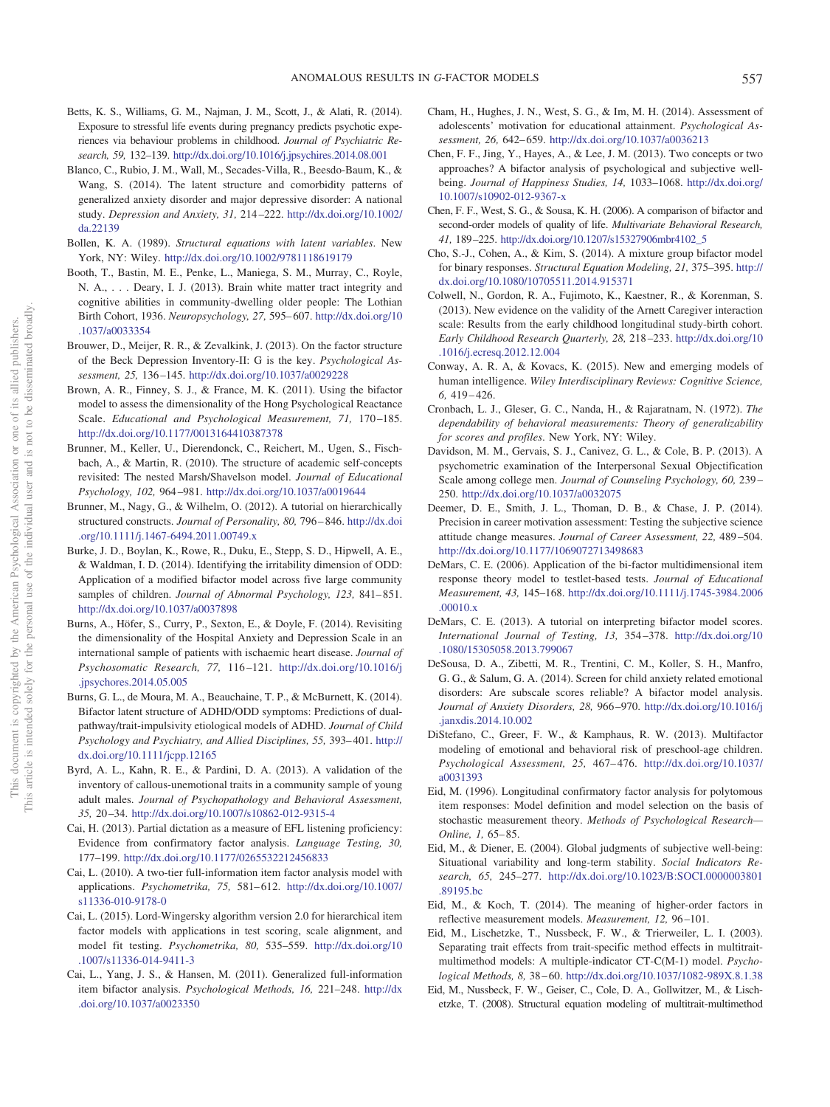- <span id="page-16-10"></span>Betts, K. S., Williams, G. M., Najman, J. M., Scott, J., & Alati, R. (2014). Exposure to stressful life events during pregnancy predicts psychotic experiences via behaviour problems in childhood. *Journal of Psychiatric Research, 59,* 132–139. <http://dx.doi.org/10.1016/j.jpsychires.2014.08.001>
- <span id="page-16-7"></span>Blanco, C., Rubio, J. M., Wall, M., Secades-Villa, R., Beesdo-Baum, K., & Wang, S. (2014). The latent structure and comorbidity patterns of generalized anxiety disorder and major depressive disorder: A national study. *Depression and Anxiety, 31,* 214 –222. [http://dx.doi.org/10.1002/](http://dx.doi.org/10.1002/da.22139) [da.22139](http://dx.doi.org/10.1002/da.22139)
- <span id="page-16-22"></span>Bollen, K. A. (1989). *Structural equations with latent variables*. New York, NY: Wiley. <http://dx.doi.org/10.1002/9781118619179>
- <span id="page-16-8"></span>Booth, T., Bastin, M. E., Penke, L., Maniega, S. M., Murray, C., Royle, N. A., . . . Deary, I. J. (2013). Brain white matter tract integrity and cognitive abilities in community-dwelling older people: The Lothian Birth Cohort, 1936. *Neuropsychology, 27,* 595– 607. [http://dx.doi.org/10](http://dx.doi.org/10.1037/a0033354) [.1037/a0033354](http://dx.doi.org/10.1037/a0033354)
- <span id="page-16-17"></span>Brouwer, D., Meijer, R. R., & Zevalkink, J. (2013). On the factor structure of the Beck Depression Inventory-II: G is the key. *Psychological Assessment, 25,* 136 –145. <http://dx.doi.org/10.1037/a0029228>
- <span id="page-16-5"></span>Brown, A. R., Finney, S. J., & France, M. K. (2011). Using the bifactor model to assess the dimensionality of the Hong Psychological Reactance Scale. *Educational and Psychological Measurement*, 71, 170-185. <http://dx.doi.org/10.1177/0013164410387378>
- <span id="page-16-32"></span>Brunner, M., Keller, U., Dierendonck, C., Reichert, M., Ugen, S., Fischbach, A., & Martin, R. (2010). The structure of academic self-concepts revisited: The nested Marsh/Shavelson model. *Journal of Educational Psychology, 102,* 964 –981. <http://dx.doi.org/10.1037/a0019644>
- <span id="page-16-3"></span>Brunner, M., Nagy, G., & Wilhelm, O. (2012). A tutorial on hierarchically structured constructs. *Journal of Personality, 80,* 796 – 846. [http://dx.doi](http://dx.doi.org/10.1111/j.1467-6494.2011.00749.x) [.org/10.1111/j.1467-6494.2011.00749.x](http://dx.doi.org/10.1111/j.1467-6494.2011.00749.x)
- <span id="page-16-21"></span>Burke, J. D., Boylan, K., Rowe, R., Duku, E., Stepp, S. D., Hipwell, A. E., & Waldman, I. D. (2014). Identifying the irritability dimension of ODD: Application of a modified bifactor model across five large community samples of children. *Journal of Abnormal Psychology*, 123, 841-851. <http://dx.doi.org/10.1037/a0037898>
- <span id="page-16-11"></span>Burns, A., Höfer, S., Curry, P., Sexton, E., & Doyle, F. (2014). Revisiting the dimensionality of the Hospital Anxiety and Depression Scale in an international sample of patients with ischaemic heart disease. *Journal of Psychosomatic Research, 77,* 116 –121. [http://dx.doi.org/10.1016/j](http://dx.doi.org/10.1016/j.jpsychores.2014.05.005) [.jpsychores.2014.05.005](http://dx.doi.org/10.1016/j.jpsychores.2014.05.005)
- <span id="page-16-12"></span>Burns, G. L., de Moura, M. A., Beauchaine, T. P., & McBurnett, K. (2014). Bifactor latent structure of ADHD/ODD symptoms: Predictions of dualpathway/trait-impulsivity etiological models of ADHD. *Journal of Child Psychology and Psychiatry, and Allied Disciplines, 55,* 393– 401. [http://](http://dx.doi.org/10.1111/jcpp.12165) [dx.doi.org/10.1111/jcpp.12165](http://dx.doi.org/10.1111/jcpp.12165)
- <span id="page-16-14"></span>Byrd, A. L., Kahn, R. E., & Pardini, D. A. (2013). A validation of the inventory of callous-unemotional traits in a community sample of young adult males. *Journal of Psychopathology and Behavioral Assessment, 35,* 20 –34. <http://dx.doi.org/10.1007/s10862-012-9315-4>
- <span id="page-16-19"></span>Cai, H. (2013). Partial dictation as a measure of EFL listening proficiency: Evidence from confirmatory factor analysis. *Language Testing, 30,* 177–199. <http://dx.doi.org/10.1177/0265532212456833>
- <span id="page-16-4"></span>Cai, L. (2010). A two-tier full-information item factor analysis model with applications. *Psychometrika, 75,* 581– 612. [http://dx.doi.org/10.1007/](http://dx.doi.org/10.1007/s11336-010-9178-0) [s11336-010-9178-0](http://dx.doi.org/10.1007/s11336-010-9178-0)
- <span id="page-16-25"></span>Cai, L. (2015). Lord-Wingersky algorithm version 2.0 for hierarchical item factor models with applications in test scoring, scale alignment, and model fit testing. *Psychometrika, 80,* 535–559. [http://dx.doi.org/10](http://dx.doi.org/10.1007/s11336-014-9411-3) [.1007/s11336-014-9411-3](http://dx.doi.org/10.1007/s11336-014-9411-3)
- <span id="page-16-1"></span>Cai, L., Yang, J. S., & Hansen, M. (2011). Generalized full-information item bifactor analysis. *Psychological Methods, 16,* 221–248. [http://dx](http://dx.doi.org/10.1037/a0023350) [.doi.org/10.1037/a0023350](http://dx.doi.org/10.1037/a0023350)
- <span id="page-16-9"></span>Cham, H., Hughes, J. N., West, S. G., & Im, M. H. (2014). Assessment of adolescents' motivation for educational attainment. *Psychological Assessment, 26,* 642– 659. <http://dx.doi.org/10.1037/a0036213>
- <span id="page-16-0"></span>Chen, F. F., Jing, Y., Hayes, A., & Lee, J. M. (2013). Two concepts or two approaches? A bifactor analysis of psychological and subjective wellbeing. *Journal of Happiness Studies, 14,* 1033–1068. [http://dx.doi.org/](http://dx.doi.org/10.1007/s10902-012-9367-x) [10.1007/s10902-012-9367-x](http://dx.doi.org/10.1007/s10902-012-9367-x)
- <span id="page-16-6"></span>Chen, F. F., West, S. G., & Sousa, K. H. (2006). A comparison of bifactor and second-order models of quality of life. *Multivariate Behavioral Research, 41,* 189 –225. [http://dx.doi.org/10.1207/s15327906mbr4102\\_5](http://dx.doi.org/10.1207/s15327906mbr4102_5)
- <span id="page-16-26"></span>Cho, S.-J., Cohen, A., & Kim, S. (2014). A mixture group bifactor model for binary responses. *Structural Equation Modeling, 21,* 375–395. [http://](http://dx.doi.org/10.1080/10705511.2014.915371) [dx.doi.org/10.1080/10705511.2014.915371](http://dx.doi.org/10.1080/10705511.2014.915371)
- <span id="page-16-16"></span>Colwell, N., Gordon, R. A., Fujimoto, K., Kaestner, R., & Korenman, S. (2013). New evidence on the validity of the Arnett Caregiver interaction scale: Results from the early childhood longitudinal study-birth cohort. *Early Childhood Research Quarterly, 28,* 218 –233. [http://dx.doi.org/10](http://dx.doi.org/10.1016/j.ecresq.2012.12.004) [.1016/j.ecresq.2012.12.004](http://dx.doi.org/10.1016/j.ecresq.2012.12.004)
- <span id="page-16-33"></span>Conway, A. R. A, & Kovacs, K. (2015). New and emerging models of human intelligence. *Wiley Interdisciplinary Reviews: Cognitive Science, 6,* 419 – 426.
- <span id="page-16-23"></span>Cronbach, L. J., Gleser, G. C., Nanda, H., & Rajaratnam, N. (1972). *The dependability of behavioral measurements: Theory of generalizability for scores and profiles*. New York, NY: Wiley.
- <span id="page-16-20"></span>Davidson, M. M., Gervais, S. J., Canivez, G. L., & Cole, B. P. (2013). A psychometric examination of the Interpersonal Sexual Objectification Scale among college men. *Journal of Counseling Psychology, 60,* 239 – 250. <http://dx.doi.org/10.1037/a0032075>
- <span id="page-16-15"></span>Deemer, D. E., Smith, J. L., Thoman, D. B., & Chase, J. P. (2014). Precision in career motivation assessment: Testing the subjective science attitude change measures. *Journal of Career Assessment, 22,* 489 –504. <http://dx.doi.org/10.1177/1069072713498683>
- <span id="page-16-27"></span>DeMars, C. E. (2006). Application of the bi-factor multidimensional item response theory model to testlet-based tests. *Journal of Educational Measurement, 43,* 145–168. [http://dx.doi.org/10.1111/j.1745-3984.2006](http://dx.doi.org/10.1111/j.1745-3984.2006.00010.x) [.00010.x](http://dx.doi.org/10.1111/j.1745-3984.2006.00010.x)
- <span id="page-16-28"></span>DeMars, C. E. (2013). A tutorial on interpreting bifactor model scores. *International Journal of Testing, 13,* 354 –378. [http://dx.doi.org/10](http://dx.doi.org/10.1080/15305058.2013.799067) [.1080/15305058.2013.799067](http://dx.doi.org/10.1080/15305058.2013.799067)
- <span id="page-16-18"></span>DeSousa, D. A., Zibetti, M. R., Trentini, C. M., Koller, S. H., Manfro, G. G., & Salum, G. A. (2014). Screen for child anxiety related emotional disorders: Are subscale scores reliable? A bifactor model analysis. *Journal of Anxiety Disorders, 28,* 966 –970. [http://dx.doi.org/10.1016/j](http://dx.doi.org/10.1016/j.janxdis.2014.10.002) [.janxdis.2014.10.002](http://dx.doi.org/10.1016/j.janxdis.2014.10.002)
- <span id="page-16-13"></span>DiStefano, C., Greer, F. W., & Kamphaus, R. W. (2013). Multifactor modeling of emotional and behavioral risk of preschool-age children. *Psychological Assessment, 25,* 467– 476. [http://dx.doi.org/10.1037/](http://dx.doi.org/10.1037/a0031393) [a0031393](http://dx.doi.org/10.1037/a0031393)
- <span id="page-16-2"></span>Eid, M. (1996). Longitudinal confirmatory factor analysis for polytomous item responses: Model definition and model selection on the basis of stochastic measurement theory. *Methods of Psychological Research— Online, 1,* 65– 85.
- <span id="page-16-29"></span>Eid, M., & Diener, E. (2004). Global judgments of subjective well-being: Situational variability and long-term stability. *Social Indicators Research, 65,* 245–277. [http://dx.doi.org/10.1023/B:SOCI.0000003801](http://dx.doi.org/10.1023/B:SOCI.0000003801.89195.bc) [.89195.bc](http://dx.doi.org/10.1023/B:SOCI.0000003801.89195.bc)
- <span id="page-16-24"></span>Eid, M., & Koch, T. (2014). The meaning of higher-order factors in reflective measurement models. *Measurement, 12,* 96 –101.
- <span id="page-16-30"></span>Eid, M., Lischetzke, T., Nussbeck, F. W., & Trierweiler, L. I. (2003). Separating trait effects from trait-specific method effects in multitraitmultimethod models: A multiple-indicator CT-C(M-1) model. *Psychological Methods, 8,* 38 – 60. <http://dx.doi.org/10.1037/1082-989X.8.1.38>
- <span id="page-16-31"></span>Eid, M., Nussbeck, F. W., Geiser, C., Cole, D. A., Gollwitzer, M., & Lischetzke, T. (2008). Structural equation modeling of multitrait-multimethod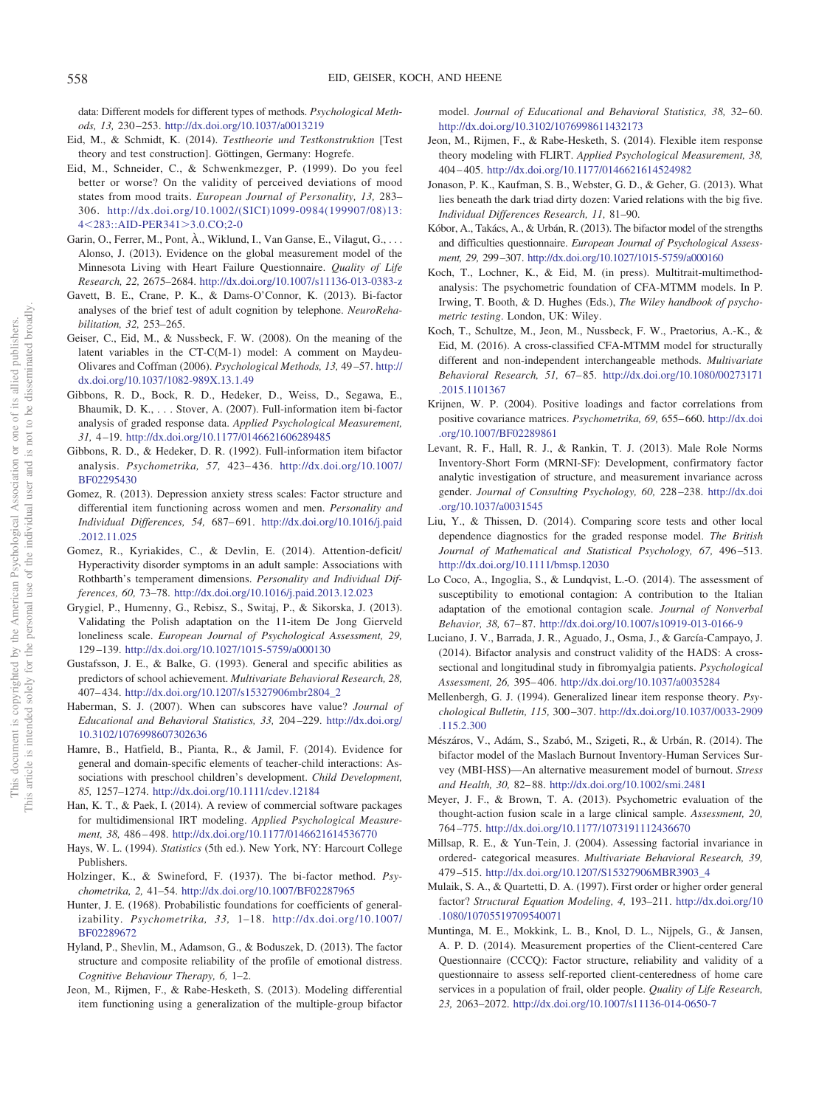data: Different models for different types of methods. *Psychological Methods, 13,* 230 –253. <http://dx.doi.org/10.1037/a0013219>

- <span id="page-17-19"></span>Eid, M., & Schmidt, K. (2014). *Testtheorie und Testkonstruktion* [Test theory and test construction]. Göttingen, Germany: Hogrefe.
- <span id="page-17-28"></span>Eid, M., Schneider, C., & Schwenkmezger, P. (1999). Do you feel better or worse? On the validity of perceived deviations of mood states from mood traits. *European Journal of Personality, 13,* 283– 306. [http://dx.doi.org/10.1002/\(SICI\)1099-0984\(199907/08\)13:](http://dx.doi.org/10.1002/%28SICI%291099-0984%28199907/08%2913:4%3C283::AID-PER341%3E3.0.CO;2-0) 4<[283::AID-PER341](http://dx.doi.org/10.1002/%28SICI%291099-0984%28199907/08%2913:4%3C283::AID-PER341%3E3.0.CO;2-0)>3.0.CO;2-0
- <span id="page-17-0"></span>Garin, O., Ferrer, M., Pont, À., Wiklund, I., Van Ganse, E., Vilagut, G.,... Alonso, J. (2013). Evidence on the global measurement model of the Minnesota Living with Heart Failure Questionnaire. *Quality of Life Research, 22,* 2675–2684. <http://dx.doi.org/10.1007/s11136-013-0383-z>
- <span id="page-17-5"></span>Gavett, B. E., Crane, P. K., & Dams-O'Connor, K. (2013). Bi-factor analyses of the brief test of adult cognition by telephone. *NeuroRehabilitation, 32,* 253–265.
- <span id="page-17-30"></span>Geiser, C., Eid, M., & Nussbeck, F. W. (2008). On the meaning of the latent variables in the CT-C(M-1) model: A comment on Maydeu-Olivares and Coffman (2006). *Psychological Methods, 13,* 49 –57. [http://](http://dx.doi.org/10.1037/1082-989X.13.1.49) [dx.doi.org/10.1037/1082-989X.13.1.49](http://dx.doi.org/10.1037/1082-989X.13.1.49)
- <span id="page-17-22"></span>Gibbons, R. D., Bock, R. D., Hedeker, D., Weiss, D., Segawa, E., Bhaumik, D. K.,... Stover, A. (2007). Full-information item bi-factor analysis of graded response data. *Applied Psychological Measurement, 31,* 4 –19. <http://dx.doi.org/10.1177/0146621606289485>
- <span id="page-17-23"></span>Gibbons, R. D., & Hedeker, D. R. (1992). Full-information item bifactor analysis. *Psychometrika, 57,* 423– 436. [http://dx.doi.org/10.1007/](http://dx.doi.org/10.1007/BF02295430) [BF02295430](http://dx.doi.org/10.1007/BF02295430)
- <span id="page-17-7"></span>Gomez, R. (2013). Depression anxiety stress scales: Factor structure and differential item functioning across women and men. *Personality and Individual Differences, 54,* 687– 691. [http://dx.doi.org/10.1016/j.paid](http://dx.doi.org/10.1016/j.paid.2012.11.025) [.2012.11.025](http://dx.doi.org/10.1016/j.paid.2012.11.025)
- <span id="page-17-9"></span>Gomez, R., Kyriakides, C., & Devlin, E. (2014). Attention-deficit/ Hyperactivity disorder symptoms in an adult sample: Associations with Rothbarth's temperament dimensions. *Personality and Individual Differences, 60,* 73–78. <http://dx.doi.org/10.1016/j.paid.2013.12.023>
- <span id="page-17-13"></span>Grygiel, P., Humenny, G., Rebisz, S., Switaj, P., & Sikorska, J. (2013). Validating the Polish adaptation on the 11-item De Jong Gierveld loneliness scale. *European Journal of Psychological Assessment, 29,* 129 –139. <http://dx.doi.org/10.1027/1015-5759/a000130>
- <span id="page-17-2"></span>Gustafsson, J. E., & Balke, G. (1993). General and specific abilities as predictors of school achievement. *Multivariate Behavioral Research, 28,* 407– 434. [http://dx.doi.org/10.1207/s15327906mbr2804\\_2](http://dx.doi.org/10.1207/s15327906mbr2804_2)
- <span id="page-17-31"></span>Haberman, S. J. (2007). When can subscores have value? *Journal of Educational and Behavioral Statistics, 33,* 204 –229. [http://dx.doi.org/](http://dx.doi.org/10.3102/1076998607302636) [10.3102/1076998607302636](http://dx.doi.org/10.3102/1076998607302636)
- <span id="page-17-16"></span>Hamre, B., Hatfield, B., Pianta, R., & Jamil, F. (2014). Evidence for general and domain-specific elements of teacher-child interactions: Associations with preschool children's development. *Child Development, 85,* 1257–1274. <http://dx.doi.org/10.1111/cdev.12184>
- <span id="page-17-24"></span>Han, K. T., & Paek, I. (2014). A review of commercial software packages for multidimensional IRT modeling. *Applied Psychological Measurement, 38,* 486 – 498. <http://dx.doi.org/10.1177/0146621614536770>
- <span id="page-17-18"></span>Hays, W. L. (1994). *Statistics* (5th ed.). New York, NY: Harcourt College Publishers.
- <span id="page-17-1"></span>Holzinger, K., & Swineford, F. (1937). The bi-factor method. *Psychometrika, 2,* 41–54. <http://dx.doi.org/10.1007/BF02287965>
- <span id="page-17-21"></span>Hunter, J. E. (1968). Probabilistic foundations for coefficients of generalizability. *Psychometrika, 33,* 1–18. [http://dx.doi.org/10.1007/](http://dx.doi.org/10.1007/BF02289672) [BF02289672](http://dx.doi.org/10.1007/BF02289672)
- <span id="page-17-12"></span>Hyland, P., Shevlin, M., Adamson, G., & Boduszek, D. (2013). The factor structure and composite reliability of the profile of emotional distress. *Cognitive Behaviour Therapy, 6,* 1–2.
- <span id="page-17-25"></span>Jeon, M., Rijmen, F., & Rabe-Hesketh, S. (2013). Modeling differential item functioning using a generalization of the multiple-group bifactor

model. *Journal of Educational and Behavioral Statistics, 38,* 32– 60. <http://dx.doi.org/10.3102/1076998611432173>

- <span id="page-17-26"></span>Jeon, M., Rijmen, F., & Rabe-Hesketh, S. (2014). Flexible item response theory modeling with FLIRT. *Applied Psychological Measurement, 38,* 404 – 405. <http://dx.doi.org/10.1177/0146621614524982>
- <span id="page-17-11"></span>Jonason, P. K., Kaufman, S. B., Webster, G. D., & Geher, G. (2013). What lies beneath the dark triad dirty dozen: Varied relations with the big five. *Individual Differences Research, 11,* 81–90.
- <span id="page-17-14"></span>Kóbor, A., Takács, A., & Urbán, R. (2013). The bifactor model of the strengths and difficulties questionnaire. *European Journal of Psychological Assessment, 29,* 299 –307. <http://dx.doi.org/10.1027/1015-5759/a000160>
- <span id="page-17-32"></span>Koch, T., Lochner, K., & Eid, M. (in press). Multitrait-multimethodanalysis: The psychometric foundation of CFA-MTMM models. In P. Irwing, T. Booth, & D. Hughes (Eds.), *The Wiley handbook of psychometric testing*. London, UK: Wiley.
- <span id="page-17-29"></span>Koch, T., Schultze, M., Jeon, M., Nussbeck, F. W., Praetorius, A.-K., & Eid, M. (2016). A cross-classified CFA-MTMM model for structurally different and non-independent interchangeable methods. *Multivariate Behavioral Research, 51,* 67– 85. [http://dx.doi.org/10.1080/00273171](http://dx.doi.org/10.1080/00273171.2015.1101367) [.2015.1101367](http://dx.doi.org/10.1080/00273171.2015.1101367)
- <span id="page-17-33"></span>Krijnen, W. P. (2004). Positive loadings and factor correlations from positive covariance matrices. *Psychometrika, 69,* 655– 660. [http://dx.doi](http://dx.doi.org/10.1007/BF02289861) [.org/10.1007/BF02289861](http://dx.doi.org/10.1007/BF02289861)
- <span id="page-17-17"></span>Levant, R. F., Hall, R. J., & Rankin, T. J. (2013). Male Role Norms Inventory-Short Form (MRNI-SF): Development, confirmatory factor analytic investigation of structure, and measurement invariance across gender. *Journal of Consulting Psychology, 60,* 228 –238. [http://dx.doi](http://dx.doi.org/10.1037/a0031545) [.org/10.1037/a0031545](http://dx.doi.org/10.1037/a0031545)
- <span id="page-17-27"></span>Liu, Y., & Thissen, D. (2014). Comparing score tests and other local dependence diagnostics for the graded response model. *The British Journal of Mathematical and Statistical Psychology, 67,* 496 –513. <http://dx.doi.org/10.1111/bmsp.12030>
- <span id="page-17-15"></span>Lo Coco, A., Ingoglia, S., & Lundqvist, L.-O. (2014). The assessment of susceptibility to emotional contagion: A contribution to the Italian adaptation of the emotional contagion scale. *Journal of Nonverbal Behavior, 38,* 67– 87. <http://dx.doi.org/10.1007/s10919-013-0166-9>
- <span id="page-17-8"></span>Luciano, J. V., Barrada, J. R., Aguado, J., Osma, J., & García-Campayo, J. (2014). Bifactor analysis and construct validity of the HADS: A crosssectional and longitudinal study in fibromyalgia patients. *Psychological Assessment, 26,* 395– 406. <http://dx.doi.org/10.1037/a0035284>
- <span id="page-17-20"></span>Mellenbergh, G. J. (1994). Generalized linear item response theory. *Psychological Bulletin, 115,* 300 –307. [http://dx.doi.org/10.1037/0033-2909](http://dx.doi.org/10.1037/0033-2909.115.2.300) [.115.2.300](http://dx.doi.org/10.1037/0033-2909.115.2.300)
- <span id="page-17-10"></span>Mészáros, V., Adám, S., Szabó, M., Szigeti, R., & Urbán, R. (2014). The bifactor model of the Maslach Burnout Inventory-Human Services Survey (MBI-HSS)—An alternative measurement model of burnout. *Stress and Health, 30,* 82– 88. <http://dx.doi.org/10.1002/smi.2481>
- <span id="page-17-6"></span>Meyer, J. F., & Brown, T. A. (2013). Psychometric evaluation of the thought-action fusion scale in a large clinical sample. *Assessment, 20,* 764 –775. <http://dx.doi.org/10.1177/1073191112436670>
- <span id="page-17-34"></span>Millsap, R. E., & Yun-Tein, J. (2004). Assessing factorial invariance in ordered- categorical measures. *Multivariate Behavioral Research, 39,* 479 –515. [http://dx.doi.org/10.1207/S15327906MBR3903\\_4](http://dx.doi.org/10.1207/S15327906MBR3903_4)
- <span id="page-17-3"></span>Mulaik, S. A., & Quartetti, D. A. (1997). First order or higher order general factor? *Structural Equation Modeling, 4,* 193–211. [http://dx.doi.org/10](http://dx.doi.org/10.1080/10705519709540071) [.1080/10705519709540071](http://dx.doi.org/10.1080/10705519709540071)
- <span id="page-17-4"></span>Muntinga, M. E., Mokkink, L. B., Knol, D. L., Nijpels, G., & Jansen, A. P. D. (2014). Measurement properties of the Client-centered Care Questionnaire (CCCQ): Factor structure, reliability and validity of a questionnaire to assess self-reported client-centeredness of home care services in a population of frail, older people. *Quality of Life Research, 23,* 2063–2072. <http://dx.doi.org/10.1007/s11136-014-0650-7>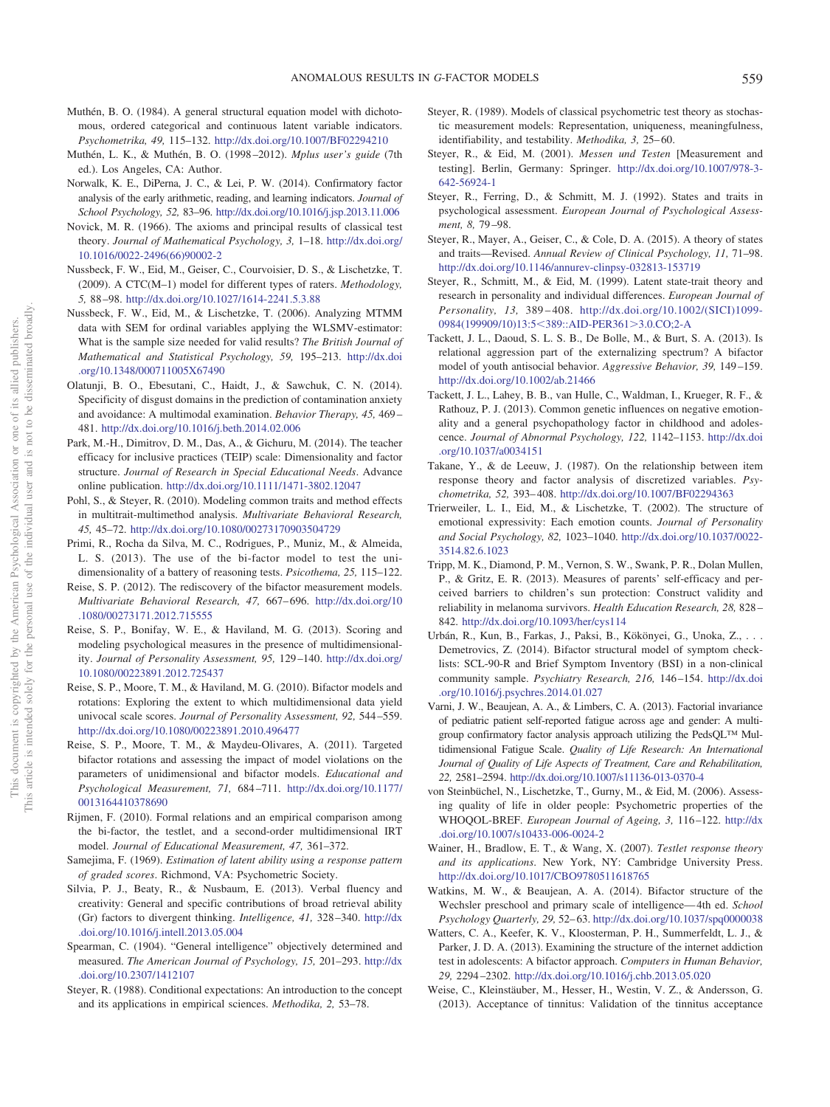- <span id="page-18-35"></span>Muthén, B. O. (1984). A general structural equation model with dichotomous, ordered categorical and continuous latent variable indicators. *Psychometrika, 49,* 115–132. <http://dx.doi.org/10.1007/BF02294210>
- <span id="page-18-29"></span>Muthén, L. K., & Muthén, B. O. (1998 –2012). *Mplus user's guide* (7th ed.). Los Angeles, CA: Author.
- <span id="page-18-8"></span>Norwalk, K. E., DiPerna, J. C., & Lei, P. W. (2014). Confirmatory factor analysis of the early arithmetic, reading, and learning indicators. *Journal of School Psychology, 52,* 83–96. <http://dx.doi.org/10.1016/j.jsp.2013.11.006>
- <span id="page-18-21"></span>Novick, M. R. (1966). The axioms and principal results of classical test theory. *Journal of Mathematical Psychology, 3,* 1–18. [http://dx.doi.org/](http://dx.doi.org/10.1016/0022-2496%2866%2990002-2) [10.1016/0022-2496\(66\)90002-2](http://dx.doi.org/10.1016/0022-2496%2866%2990002-2)
- <span id="page-18-26"></span>Nussbeck, F. W., Eid, M., Geiser, C., Courvoisier, D. S., & Lischetzke, T. (2009). A CTC(M–1) model for different types of raters. *Methodology, 5,* 88 –98. <http://dx.doi.org/10.1027/1614-2241.5.3.88>
- <span id="page-18-27"></span>Nussbeck, F. W., Eid, M., & Lischetzke, T. (2006). Analyzing MTMM data with SEM for ordinal variables applying the WLSMV-estimator: What is the sample size needed for valid results? *The British Journal of Mathematical and Statistical Psychology, 59,* 195–213. [http://dx.doi](http://dx.doi.org/10.1348/000711005X67490) [.org/10.1348/000711005X67490](http://dx.doi.org/10.1348/000711005X67490)
- <span id="page-18-12"></span>Olatunji, B. O., Ebesutani, C., Haidt, J., & Sawchuk, C. N. (2014). Specificity of disgust domains in the prediction of contamination anxiety and avoidance: A multimodal examination. *Behavior Therapy, 45,* 469 – 481. <http://dx.doi.org/10.1016/j.beth.2014.02.006>
- <span id="page-18-14"></span>Park, M.-H., Dimitrov, D. M., Das, A., & Gichuru, M. (2014). The teacher efficacy for inclusive practices (TEIP) scale: Dimensionality and factor structure. *Journal of Research in Special Educational Needs*. Advance online publication. <http://dx.doi.org/10.1111/1471-3802.12047>
- <span id="page-18-32"></span>Pohl, S., & Steyer, R. (2010). Modeling common traits and method effects in multitrait-multimethod analysis. *Multivariate Behavioral Research, 45,* 45–72. <http://dx.doi.org/10.1080/00273170903504729>
- <span id="page-18-15"></span>Primi, R., Rocha da Silva, M. C., Rodrigues, P., Muniz, M., & Almeida, L. S. (2013). The use of the bi-factor model to test the unidimensionality of a battery of reasoning tests. *Psicothema, 25,* 115–122.
- <span id="page-18-1"></span>Reise, S. P. (2012). The rediscovery of the bifactor measurement models. *Multivariate Behavioral Research, 47,* 667– 696. [http://dx.doi.org/10](http://dx.doi.org/10.1080/00273171.2012.715555) [.1080/00273171.2012.715555](http://dx.doi.org/10.1080/00273171.2012.715555)
- <span id="page-18-31"></span>Reise, S. P., Bonifay, W. E., & Haviland, M. G. (2013). Scoring and modeling psychological measures in the presence of multidimensionality. *Journal of Personality Assessment, 95,* 129 –140. [http://dx.doi.org/](http://dx.doi.org/10.1080/00223891.2012.725437) [10.1080/00223891.2012.725437](http://dx.doi.org/10.1080/00223891.2012.725437)
- <span id="page-18-5"></span>Reise, S. P., Moore, T. M., & Haviland, M. G. (2010). Bifactor models and rotations: Exploring the extent to which multidimensional data yield univocal scale scores. *Journal of Personality Assessment, 92,* 544 –559. <http://dx.doi.org/10.1080/00223891.2010.496477>
- <span id="page-18-6"></span>Reise, S. P., Moore, T. M., & Maydeu-Olivares, A. (2011). Targeted bifactor rotations and assessing the impact of model violations on the parameters of unidimensional and bifactor models. *Educational and Psychological Measurement, 71,* 684 –711. [http://dx.doi.org/10.1177/](http://dx.doi.org/10.1177/0013164410378690) [0013164410378690](http://dx.doi.org/10.1177/0013164410378690)
- <span id="page-18-7"></span>Rijmen, F. (2010). Formal relations and an empirical comparison among the bi-factor, the testlet, and a second-order multidimensional IRT model. *Journal of Educational Measurement, 47,* 361–372.
- <span id="page-18-33"></span>Samejima, F. (1969). *Estimation of latent ability using a response pattern of graded scores*. Richmond, VA: Psychometric Society.
- <span id="page-18-11"></span>Silvia, P. J., Beaty, R., & Nusbaum, E. (2013). Verbal fluency and creativity: General and specific contributions of broad retrieval ability (Gr) factors to divergent thinking. *Intelligence, 41,* 328 –340. [http://dx](http://dx.doi.org/10.1016/j.intell.2013.05.004) [.doi.org/10.1016/j.intell.2013.05.004](http://dx.doi.org/10.1016/j.intell.2013.05.004)
- <span id="page-18-0"></span>Spearman, C. (1904). "General intelligence" objectively determined and measured. *The American Journal of Psychology, 15,* 201–293. [http://dx](http://dx.doi.org/10.2307/1412107) [.doi.org/10.2307/1412107](http://dx.doi.org/10.2307/1412107)
- <span id="page-18-18"></span>Steyer, R. (1988). Conditional expectations: An introduction to the concept and its applications in empirical sciences. *Methodika, 2,* 53–78.
- <span id="page-18-4"></span>Steyer, R. (1989). Models of classical psychometric test theory as stochastic measurement models: Representation, uniqueness, meaningfulness, identifiability, and testability. *Methodika, 3,* 25– 60.
- <span id="page-18-22"></span>Steyer, R., & Eid, M. (2001). *Messen und Testen* [Measurement and testing]. Berlin, Germany: Springer. [http://dx.doi.org/10.1007/978-3-](http://dx.doi.org/10.1007/978-3-642-56924-1) [642-56924-1](http://dx.doi.org/10.1007/978-3-642-56924-1)
- <span id="page-18-25"></span>Steyer, R., Ferring, D., & Schmitt, M. J. (1992). States and traits in psychological assessment. *European Journal of Psychological Assessment, 8,* 79 –98.
- <span id="page-18-23"></span>Steyer, R., Mayer, A., Geiser, C., & Cole, D. A. (2015). A theory of states and traits—Revised. *Annual Review of Clinical Psychology, 11,* 71–98. <http://dx.doi.org/10.1146/annurev-clinpsy-032813-153719>
- <span id="page-18-24"></span>Steyer, R., Schmitt, M., & Eid, M. (1999). Latent state-trait theory and research in personality and individual differences. *European Journal of Personality, 13,* 389 – 408. [http://dx.doi.org/10.1002/\(SICI\)1099-](http://dx.doi.org/10.1002/%28SICI%291099-0984%28199909/10%2913:5%3C389::AID-PER361%3E3.0.CO;2-A) [0984\(199909/10\)13:5](http://dx.doi.org/10.1002/%28SICI%291099-0984%28199909/10%2913:5%3C389::AID-PER361%3E3.0.CO;2-A)<389::AID-PER361>3.0.CO;2-A
- <span id="page-18-17"></span>Tackett, J. L., Daoud, S. L. S. B., De Bolle, M., & Burt, S. A. (2013). Is relational aggression part of the externalizing spectrum? A bifactor model of youth antisocial behavior. *Aggressive Behavior, 39,* 149 –159. <http://dx.doi.org/10.1002/ab.21466>
- <span id="page-18-10"></span>Tackett, J. L., Lahey, B. B., van Hulle, C., Waldman, I., Krueger, R. F., & Rathouz, P. J. (2013). Common genetic influences on negative emotionality and a general psychopathology factor in childhood and adolescence. *Journal of Abnormal Psychology, 122,* 1142–1153. [http://dx.doi](http://dx.doi.org/10.1037/a0034151) [.org/10.1037/a0034151](http://dx.doi.org/10.1037/a0034151)
- <span id="page-18-34"></span>Takane, Y., & de Leeuw, J. (1987). On the relationship between item response theory and factor analysis of discretized variables. *Psychometrika, 52,* 393– 408. <http://dx.doi.org/10.1007/BF02294363>
- <span id="page-18-28"></span>Trierweiler, L. I., Eid, M., & Lischetzke, T. (2002). The structure of emotional expressivity: Each emotion counts. *Journal of Personality and Social Psychology, 82,* 1023–1040. [http://dx.doi.org/10.1037/0022-](http://dx.doi.org/10.1037/0022-3514.82.6.1023) [3514.82.6.1023](http://dx.doi.org/10.1037/0022-3514.82.6.1023)
- <span id="page-18-16"></span>Tripp, M. K., Diamond, P. M., Vernon, S. W., Swank, P. R., Dolan Mullen, P., & Gritz, E. R. (2013). Measures of parents' self-efficacy and perceived barriers to children's sun protection: Construct validity and reliability in melanoma survivors. *Health Education Research, 28,* 828 – 842. <http://dx.doi.org/10.1093/her/cys114>
- <span id="page-18-2"></span>Urbán, R., Kun, B., Farkas, J., Paksi, B., Kökönyei, G., Unoka, Z.,... Demetrovics, Z. (2014). Bifactor structural model of symptom checklists: SCL-90-R and Brief Symptom Inventory (BSI) in a non-clinical community sample. Psychiatry Research, 216, 146-154. [http://dx.doi](http://dx.doi.org/10.1016/j.psychres.2014.01.027) [.org/10.1016/j.psychres.2014.01.027](http://dx.doi.org/10.1016/j.psychres.2014.01.027)
- <span id="page-18-13"></span>Varni, J. W., Beaujean, A. A., & Limbers, C. A. (2013). Factorial invariance of pediatric patient self-reported fatigue across age and gender: A multigroup confirmatory factor analysis approach utilizing the PedsQL™ Multidimensional Fatigue Scale. *Quality of Life Research: An International Journal of Quality of Life Aspects of Treatment, Care and Rehabilitation, 22,* 2581–2594. <http://dx.doi.org/10.1007/s11136-013-0370-4>
- <span id="page-18-30"></span>von Steinbüchel, N., Lischetzke, T., Gurny, M., & Eid, M. (2006). Assessing quality of life in older people: Psychometric properties of the WHOQOL-BREF. *European Journal of Ageing, 3,* 116 –122. [http://dx](http://dx.doi.org/10.1007/s10433-006-0024-2) [.doi.org/10.1007/s10433-006-0024-2](http://dx.doi.org/10.1007/s10433-006-0024-2)
- <span id="page-18-3"></span>Wainer, H., Bradlow, E. T., & Wang, X. (2007). *Testlet response theory and its applications*. New York, NY: Cambridge University Press. <http://dx.doi.org/10.1017/CBO9780511618765>
- <span id="page-18-20"></span>Watkins, M. W., & Beaujean, A. A. (2014). Bifactor structure of the Wechsler preschool and primary scale of intelligence— 4th ed. *School Psychology Quarterly, 29,* 52– 63. <http://dx.doi.org/10.1037/spq0000038>
- <span id="page-18-9"></span>Watters, C. A., Keefer, K. V., Kloosterman, P. H., Summerfeldt, L. J., & Parker, J. D. A. (2013). Examining the structure of the internet addiction test in adolescents: A bifactor approach. *Computers in Human Behavior, 29,* 2294 –2302. <http://dx.doi.org/10.1016/j.chb.2013.05.020>
- <span id="page-18-19"></span>Weise, C., Kleinstäuber, M., Hesser, H., Westin, V. Z., & Andersson, G. (2013). Acceptance of tinnitus: Validation of the tinnitus acceptance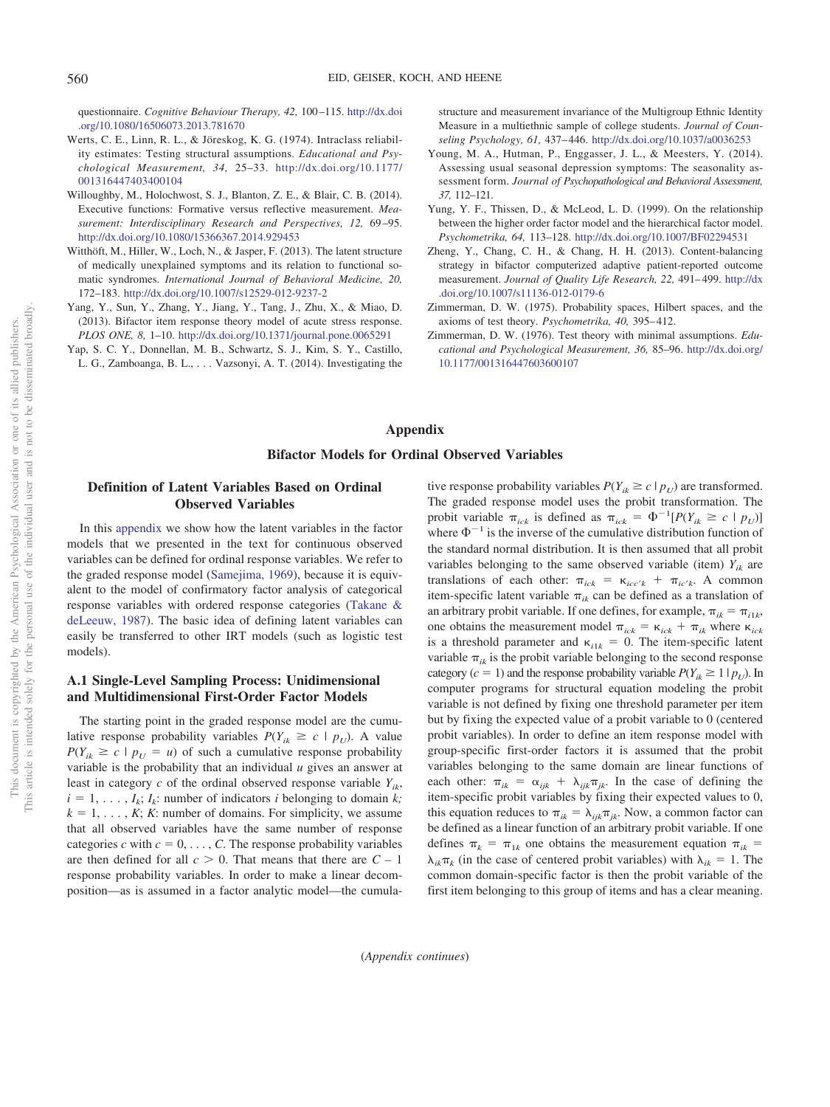questionnaire. *Cognitive Behaviour Therapy, 42,* 100 –115. [http://dx.doi](http://dx.doi.org/10.1080/16506073.2013.781670) [.org/10.1080/16506073.2013.781670](http://dx.doi.org/10.1080/16506073.2013.781670)

- <span id="page-19-7"></span>Werts, C. E., Linn, R. L., & Jöreskog, K. G. (1974). Intraclass reliability estimates: Testing structural assumptions. *Educational and Psychological Measurement, 34,* 25–33. [http://dx.doi.org/10.1177/](http://dx.doi.org/10.1177/001316447403400104) [001316447403400104](http://dx.doi.org/10.1177/001316447403400104)
- <span id="page-19-10"></span>Willoughby, M., Holochwost, S. J., Blanton, Z. E., & Blair, C. B. (2014). Executive functions: Formative versus reflective measurement. *Measurement: Interdisciplinary Research and Perspectives, 12,* 69 –95. <http://dx.doi.org/10.1080/15366367.2014.929453>
- <span id="page-19-3"></span>Witthöft, M., Hiller, W., Loch, N., & Jasper, F. (2013). The latent structure of medically unexplained symptoms and its relation to functional somatic syndromes. *International Journal of Behavioral Medicine, 20,* 172–183. <http://dx.doi.org/10.1007/s12529-012-9237-2>
- <span id="page-19-8"></span>Yang, Y., Sun, Y., Zhang, Y., Jiang, Y., Tang, J., Zhu, X., & Miao, D. (2013). Bifactor item response theory model of acute stress response. *PLOS ONE, 8,* 1–10. <http://dx.doi.org/10.1371/journal.pone.0065291>
- <span id="page-19-2"></span>Yap, S. C. Y., Donnellan, M. B., Schwartz, S. J., Kim, S. Y., Castillo, L. G., Zamboanga, B. L.,... Vazsonyi, A. T. (2014). Investigating the

structure and measurement invariance of the Multigroup Ethnic Identity Measure in a multiethnic sample of college students. *Journal of Counseling Psychology, 61,* 437– 446. <http://dx.doi.org/10.1037/a0036253>

- <span id="page-19-1"></span>Young, M. A., Hutman, P., Enggasser, J. L., & Meesters, Y. (2014). Assessing usual seasonal depression symptoms: The seasonality assessment form. *Journal of Psychopathological and Behavioral Assessment, 37,* 112–121.
- <span id="page-19-0"></span>Yung, Y. F., Thissen, D., & McLeod, L. D. (1999). On the relationship between the higher order factor model and the hierarchical factor model. *Psychometrika, 64,* 113–128. <http://dx.doi.org/10.1007/BF02294531>
- <span id="page-19-4"></span>Zheng, Y., Chang, C. H., & Chang, H. H. (2013). Content-balancing strategy in bifactor computerized adaptive patient-reported outcome measurement. *Journal of Quality Life Research, 22,* 491– 499. [http://dx](http://dx.doi.org/10.1007/s11136-012-0179-6) [.doi.org/10.1007/s11136-012-0179-6](http://dx.doi.org/10.1007/s11136-012-0179-6)
- <span id="page-19-5"></span>Zimmerman, D. W. (1975). Probability spaces, Hilbert spaces, and the axioms of test theory. *Psychometrika, 40,* 395– 412.
- <span id="page-19-6"></span>Zimmerman, D. W. (1976). Test theory with minimal assumptions. *Educational and Psychological Measurement, 36,* 85–96. [http://dx.doi.org/](http://dx.doi.org/10.1177/001316447603600107) [10.1177/001316447603600107](http://dx.doi.org/10.1177/001316447603600107)

# <span id="page-19-9"></span>**Appendix**

# **Bifactor Models for Ordinal Observed Variables**

# **Definition of Latent Variables Based on Ordinal Observed Variables**

In this [appendix](#page-19-9) we show how the latent variables in the factor models that we presented in the text for continuous observed variables can be defined for ordinal response variables. We refer to the graded response model [\(Samejima, 1969\)](#page-18-33), because it is equivalent to the model of confirmatory factor analysis of categorical response variables with ordered response categories [\(Takane &](#page-18-34) [deLeeuw, 1987\)](#page-18-34). The basic idea of defining latent variables can easily be transferred to other IRT models (such as logistic test models).

# **A.1 Single-Level Sampling Process: Unidimensional and Multidimensional First-Order Factor Models**

The starting point in the graded response model are the cumulative response probability variables  $P(Y_{ik} \ge c | p_U)$ . A value  $P(Y_{ik} \ge c | p_U = u)$  of such a cumulative response probability variable is the probability that an individual *u* gives an answer at least in category  $c$  of the ordinal observed response variable  $Y_{ik}$ ,  $i = 1, \ldots, I_k; I_k$ : number of indicators *i* belonging to domain *k*;  $k = 1, \ldots, K$ ; *K*: number of domains. For simplicity, we assume that all observed variables have the same number of response categories *c* with  $c = 0, \ldots, C$ . The response probability variables are then defined for all  $c > 0$ . That means that there are  $C - 1$ response probability variables. In order to make a linear decomposition—as is assumed in a factor analytic model—the cumula-

tive response probability variables  $P(Y_{ik} \ge c \mid p_U)$  are transformed. The graded response model uses the probit transformation. The probit variable  $\pi_{ick}$  is defined as  $\pi_{ick} = \Phi^{-1}[P(Y_{ik} \ge c \mid p_U)]$ where  $\Phi^{-1}$  is the inverse of the cumulative distribution function of the standard normal distribution. It is then assumed that all probit variables belonging to the same observed variable (item)  $Y_{ik}$  are translations of each other:  $\pi_{ick} = \kappa_{icck} + \pi_{ic'k}$ . A common item-specific latent variable  $\pi_{ik}$  can be defined as a translation of an arbitrary probit variable. If one defines, for example,  $\pi_{ik} = \pi_{i1k}$ , one obtains the measurement model  $\pi_{ick} = \kappa_{ick} + \pi_{ik}$  where  $\kappa_{ick}$ is a threshold parameter and  $\kappa_{i1k} = 0$ . The item-specific latent variable  $\pi_{ik}$  is the probit variable belonging to the second response category ( $c = 1$ ) and the response probability variable  $P(Y_{ik} \ge 1 | p_U)$ . In computer programs for structural equation modeling the probit variable is not defined by fixing one threshold parameter per item but by fixing the expected value of a probit variable to 0 (centered probit variables). In order to define an item response model with group-specific first-order factors it is assumed that the probit variables belonging to the same domain are linear functions of each other:  $\pi_{ik} = \alpha_{ijk} + \lambda_{ijk}\pi_{jk}$ . In the case of defining the item-specific probit variables by fixing their expected values to 0, this equation reduces to  $\pi_{ik} = \lambda_{ijk} \pi_{jk}$ . Now, a common factor can be defined as a linear function of an arbitrary probit variable. If one defines  $\pi_k = \pi_{1k}$  one obtains the measurement equation  $\pi_{ik}$  $\lambda_{ik}$ <sup> $\pi$ </sup><sub>*k*</sub> (in the case of centered probit variables) with  $\lambda_{ik} = 1$ . The common domain-specific factor is then the probit variable of the first item belonging to this group of items and has a clear meaning.

(*Appendix continues*)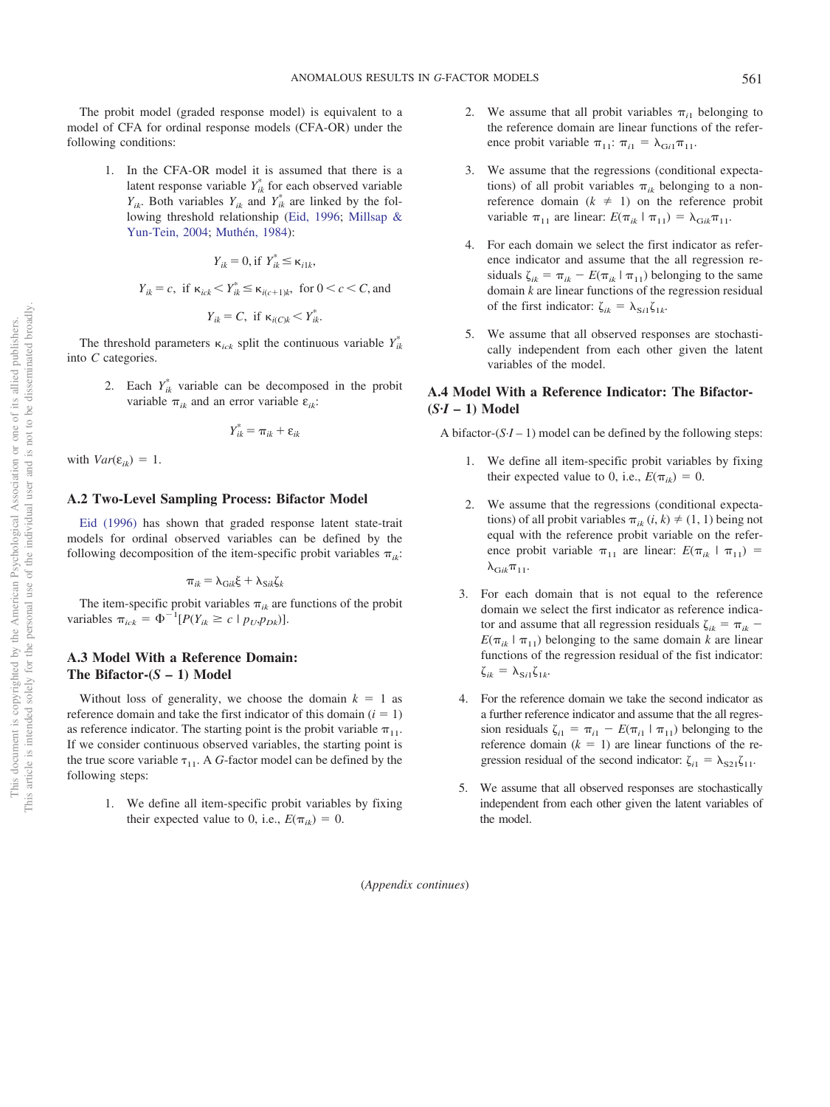The probit model (graded response model) is equivalent to a model of CFA for ordinal response models (CFA-OR) under the following conditions:

> 1. In the CFA-OR model it is assumed that there is a latent response variable  $Y_{ik}^*$  for each observed variable  $Y_{ik}$ . Both variables  $Y_{ik}$  and  $Y_{ik}^*$  are linked by the following threshold relationship [\(Eid, 1996;](#page-16-2) [Millsap &](#page-17-34) [Yun-Tein, 2004;](#page-17-34) [Muthén, 1984\)](#page-18-35):

$$
Y_{ik} = 0, \text{ if } Y_{ik}^* \le \kappa_{i1k},
$$
  

$$
Y_{ik} = c, \text{ if } \kappa_{ick} < Y_{ik}^* \le \kappa_{i(c+1)k}, \text{ for } 0 < c < C, \text{ and}
$$
  

$$
Y_{ik} = C, \text{ if } \kappa_{i(C)k} < Y_{ik}^*.
$$

The threshold parameters  $\kappa_{ick}$  split the continuous variable  $Y_{ik}^*$ into *C* categories.

> 2. Each  $Y_{ik}^*$  variable can be decomposed in the probit variable  $\pi_{ik}$  and an error variable  $\varepsilon_{ik}$ :

$$
Y_{ik}^* = \pi_{ik} + \varepsilon_{ik}
$$

with  $Var(\varepsilon_{ik}) = 1$ .

# **A.2 Two-Level Sampling Process: Bifactor Model**

[Eid \(1996\)](#page-16-2) has shown that graded response latent state-trait models for ordinal observed variables can be defined by the following decomposition of the item-specific probit variables  $\pi_{ik}$ :

$$
\pi_{ik} = \lambda_{\text{Gik}} \xi + \lambda_{\text{Sik}} \zeta_k
$$

The item-specific probit variables  $\pi_{ik}$  are functions of the probit variables  $\pi_{ick} = \Phi^{-1}[P(Y_{ik} \ge c \mid p_{U}, p_{Dk})].$ 

# **A.3 Model With a Reference Domain: The Bifactor-(***S* **– 1) Model**

Without loss of generality, we choose the domain  $k = 1$  as reference domain and take the first indicator of this domain  $(i = 1)$ as reference indicator. The starting point is the probit variable  $\pi_{11}$ . If we consider continuous observed variables, the starting point is the true score variable  $\tau_{11}$ . A *G*-factor model can be defined by the following steps:

> 1. We define all item-specific probit variables by fixing their expected value to 0, i.e.,  $E(\pi_{ik}) = 0$ .

- 2. We assume that all probit variables  $\pi_{i1}$  belonging to the reference domain are linear functions of the reference probit variable  $\pi_{11}: \pi_{i1} = \lambda_{\text{Gi1}} \pi_{11}$ .
- 3. We assume that the regressions (conditional expectations) of all probit variables  $\pi_{ik}$  belonging to a nonreference domain  $(k \neq 1)$  on the reference probit variable  $\pi_{11}$  are linear:  $E(\pi_{ik} | \pi_{11}) = \lambda_{Gik} \pi_{11}$ .
- 4. For each domain we select the first indicator as reference indicator and assume that the all regression residuals  $\zeta_{ik} = \pi_{ik} - E(\pi_{ik} | \pi_{11})$  belonging to the same domain *k* are linear functions of the regression residual of the first indicator:  $\zeta_{ik} = \lambda_{Si1} \zeta_{1k}$ .
- 5. We assume that all observed responses are stochastically independent from each other given the latent variables of the model.

# **A.4 Model With a Reference Indicator: The Bifactor- (***S·I* **– 1) Model**

A bifactor-(*S·I* – 1) model can be defined by the following steps:

- 1. We define all item-specific probit variables by fixing their expected value to 0, i.e.,  $E(\pi_{ik}) = 0$ .
- 2. We assume that the regressions (conditional expectations) of all probit variables  $\pi_{ik}$  (*i*, *k*)  $\neq$  (1, 1) being not equal with the reference probit variable on the reference probit variable  $\pi_{11}$  are linear:  $E(\pi_{ik} | \pi_{11})$  =  $\lambda_{\mathrm{G}ik}\pi_{11}.$
- 3. For each domain that is not equal to the reference domain we select the first indicator as reference indicator and assume that all regression residuals  $\zeta_{ik} = \pi_{ik}$  - $E(\pi_{ik} | \pi_{11})$  belonging to the same domain *k* are linear functions of the regression residual of the fist indicator:  $\zeta_{ik} = \lambda_{Si1} \zeta_{1k}$ .
- 4. For the reference domain we take the second indicator as a further reference indicator and assume that the all regression residuals  $\zeta_{i1} = \pi_{i1} - E(\pi_{i1} | \pi_{11})$  belonging to the reference domain  $(k = 1)$  are linear functions of the regression residual of the second indicator:  $\zeta_{i1} = \lambda_{S21}\zeta_{11}$ .
- 5. We assume that all observed responses are stochastically independent from each other given the latent variables of the model.

(*Appendix continues*)